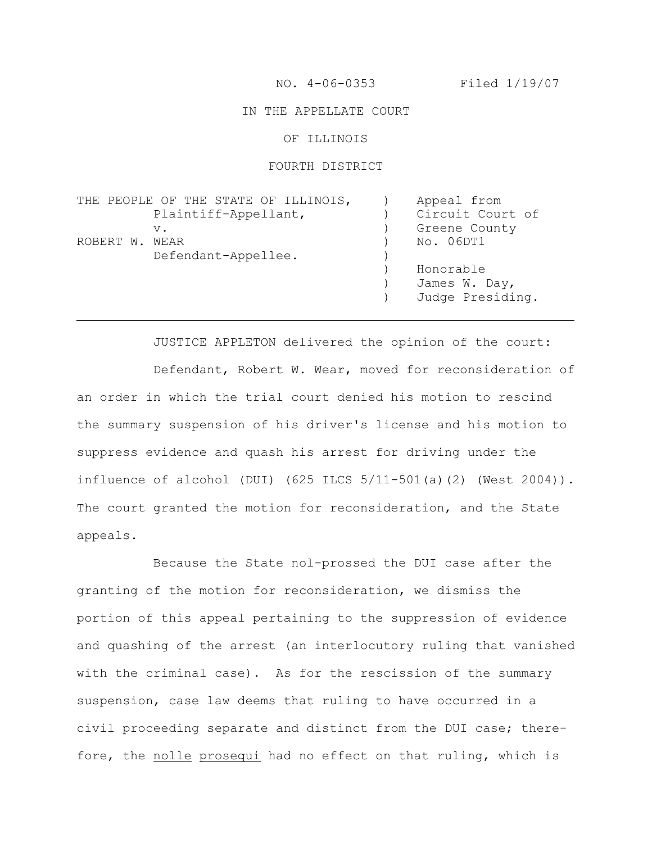NO. 4-06-0353 Filed 1/19/07

### IN THE APPELLATE COURT

OF ILLINOIS

#### FOURTH DISTRICT

|                | THE PEOPLE OF THE STATE OF ILLINOIS, | Appeal from      |
|----------------|--------------------------------------|------------------|
|                | Plaintiff-Appellant,                 | Circuit Court of |
|                | $V_{\bullet}$                        | Greene County    |
| ROBERT W. WEAR |                                      | No. 06DT1        |
|                | Defendant-Appellee.                  |                  |
|                |                                      | Honorable        |
|                |                                      | James W. Day,    |
|                |                                      | Judge Presiding. |

JUSTICE APPLETON delivered the opinion of the court: Defendant, Robert W. Wear, moved for reconsideration of an order in which the trial court denied his motion to rescind the summary suspension of his driver's license and his motion to suppress evidence and quash his arrest for driving under the influence of alcohol (DUI) (625 ILCS 5/11-501(a)(2) (West 2004)). The court granted the motion for reconsideration, and the State appeals.

Because the State nol-prossed the DUI case after the granting of the motion for reconsideration, we dismiss the portion of this appeal pertaining to the suppression of evidence and quashing of the arrest (an interlocutory ruling that vanished with the criminal case). As for the rescission of the summary suspension, case law deems that ruling to have occurred in a civil proceeding separate and distinct from the DUI case; therefore, the nolle prosequi had no effect on that ruling, which is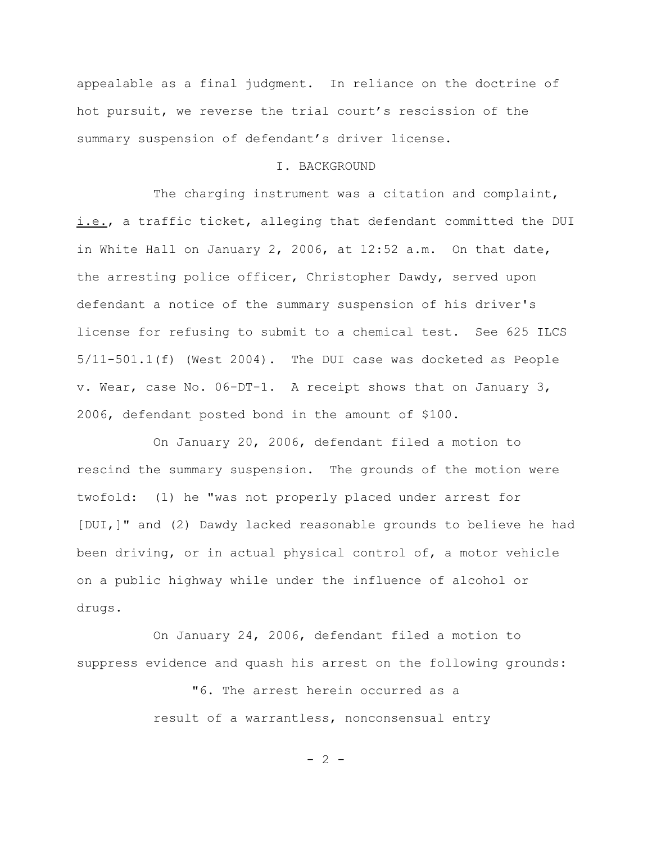appealable as a final judgment. In reliance on the doctrine of hot pursuit, we reverse the trial court's rescission of the summary suspension of defendant's driver license.

#### I. BACKGROUND

The charging instrument was a citation and complaint, i.e., a traffic ticket, alleging that defendant committed the DUI in White Hall on January 2, 2006, at 12:52 a.m. On that date, the arresting police officer, Christopher Dawdy, served upon defendant a notice of the summary suspension of his driver's license for refusing to submit to a chemical test. See 625 ILCS 5/11-501.1(f) (West 2004). The DUI case was docketed as People v. Wear, case No. 06-DT-1. A receipt shows that on January 3, 2006, defendant posted bond in the amount of \$100.

On January 20, 2006, defendant filed a motion to rescind the summary suspension. The grounds of the motion were twofold: (1) he "was not properly placed under arrest for [DUI,]" and (2) Dawdy lacked reasonable grounds to believe he had been driving, or in actual physical control of, a motor vehicle on a public highway while under the influence of alcohol or drugs.

On January 24, 2006, defendant filed a motion to suppress evidence and quash his arrest on the following grounds:

> "6. The arrest herein occurred as a result of a warrantless, nonconsensual entry

> > $- 2 -$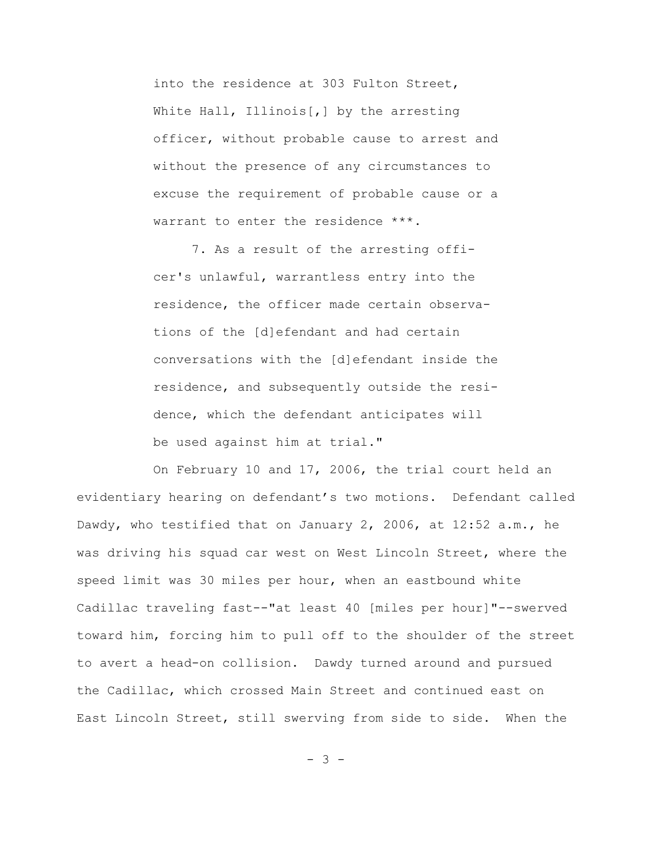into the residence at 303 Fulton Street, White Hall, Illinois[,] by the arresting officer, without probable cause to arrest and without the presence of any circumstances to excuse the requirement of probable cause or a warrant to enter the residence \*\*\*.

7. As a result of the arresting officer's unlawful, warrantless entry into the residence, the officer made certain observations of the [d]efendant and had certain conversations with the [d]efendant inside the residence, and subsequently outside the residence, which the defendant anticipates will be used against him at trial."

On February 10 and 17, 2006, the trial court held an evidentiary hearing on defendant's two motions. Defendant called Dawdy, who testified that on January 2, 2006, at 12:52 a.m., he was driving his squad car west on West Lincoln Street, where the speed limit was 30 miles per hour, when an eastbound white Cadillac traveling fast--"at least 40 [miles per hour]"--swerved toward him, forcing him to pull off to the shoulder of the street to avert a head-on collision. Dawdy turned around and pursued the Cadillac, which crossed Main Street and continued east on East Lincoln Street, still swerving from side to side. When the

- 3 -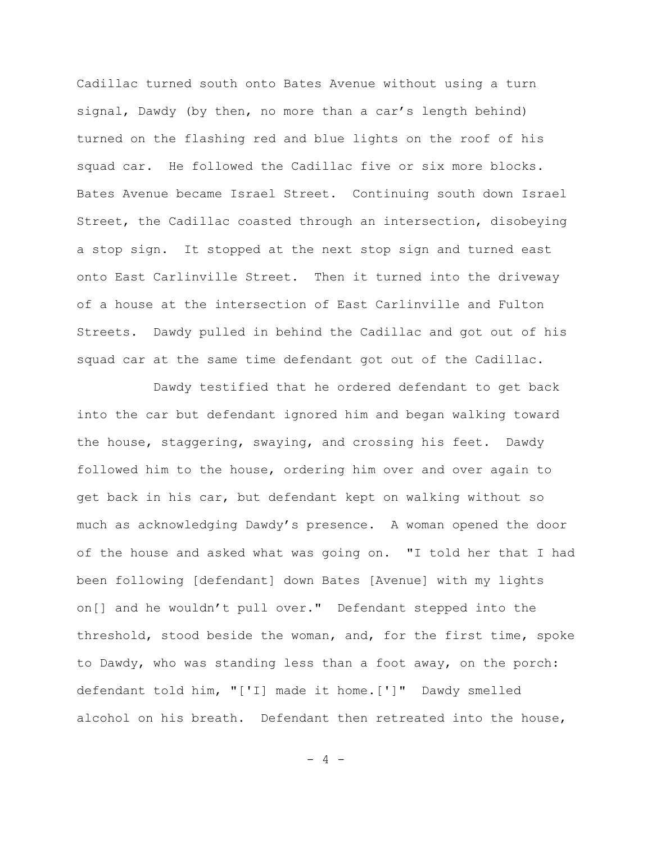Cadillac turned south onto Bates Avenue without using a turn signal, Dawdy (by then, no more than a car's length behind) turned on the flashing red and blue lights on the roof of his squad car. He followed the Cadillac five or six more blocks. Bates Avenue became Israel Street. Continuing south down Israel Street, the Cadillac coasted through an intersection, disobeying a stop sign. It stopped at the next stop sign and turned east onto East Carlinville Street. Then it turned into the driveway of a house at the intersection of East Carlinville and Fulton Streets. Dawdy pulled in behind the Cadillac and got out of his squad car at the same time defendant got out of the Cadillac.

Dawdy testified that he ordered defendant to get back into the car but defendant ignored him and began walking toward the house, staggering, swaying, and crossing his feet. Dawdy followed him to the house, ordering him over and over again to get back in his car, but defendant kept on walking without so much as acknowledging Dawdy's presence. A woman opened the door of the house and asked what was going on. "I told her that I had been following [defendant] down Bates [Avenue] with my lights on[] and he wouldn't pull over." Defendant stepped into the threshold, stood beside the woman, and, for the first time, spoke to Dawdy, who was standing less than a foot away, on the porch: defendant told him, "['I] made it home.[']" Dawdy smelled alcohol on his breath. Defendant then retreated into the house,

 $- 4 -$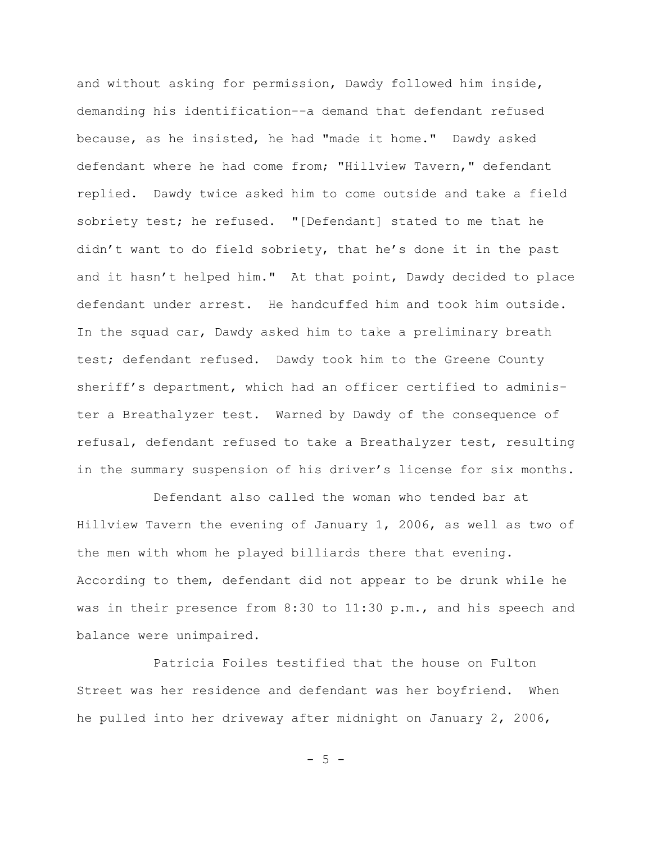and without asking for permission, Dawdy followed him inside, demanding his identification--a demand that defendant refused because, as he insisted, he had "made it home." Dawdy asked defendant where he had come from; "Hillview Tavern," defendant replied. Dawdy twice asked him to come outside and take a field sobriety test; he refused. "[Defendant] stated to me that he didn't want to do field sobriety, that he's done it in the past and it hasn't helped him." At that point, Dawdy decided to place defendant under arrest. He handcuffed him and took him outside. In the squad car, Dawdy asked him to take a preliminary breath test; defendant refused. Dawdy took him to the Greene County sheriff's department, which had an officer certified to administer a Breathalyzer test. Warned by Dawdy of the consequence of refusal, defendant refused to take a Breathalyzer test, resulting in the summary suspension of his driver's license for six months.

Defendant also called the woman who tended bar at Hillview Tavern the evening of January 1, 2006, as well as two of the men with whom he played billiards there that evening. According to them, defendant did not appear to be drunk while he was in their presence from 8:30 to 11:30 p.m., and his speech and balance were unimpaired.

Patricia Foiles testified that the house on Fulton Street was her residence and defendant was her boyfriend. When he pulled into her driveway after midnight on January 2, 2006,

 $-5 -$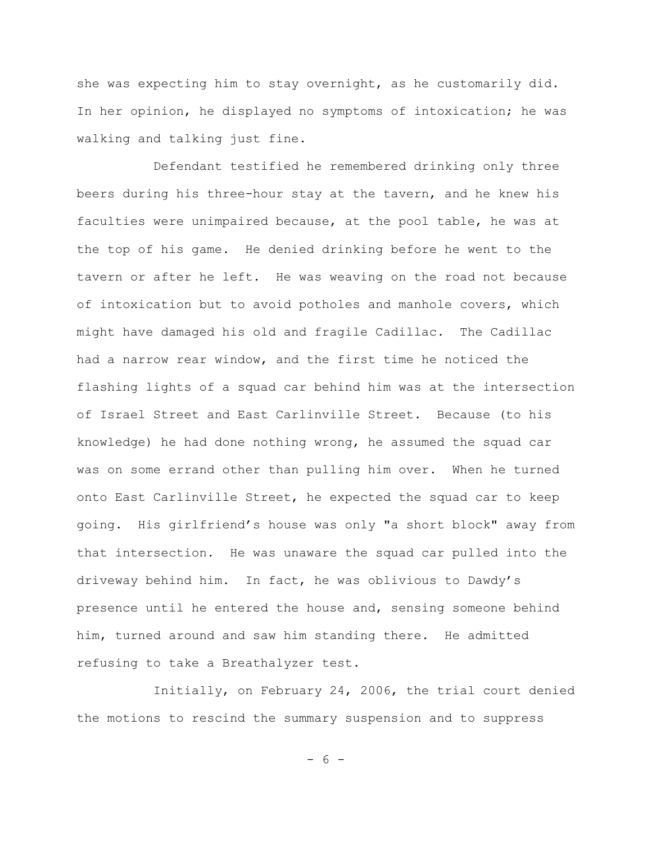she was expecting him to stay overnight, as he customarily did. In her opinion, he displayed no symptoms of intoxication; he was walking and talking just fine.

Defendant testified he remembered drinking only three beers during his three-hour stay at the tavern, and he knew his faculties were unimpaired because, at the pool table, he was at the top of his game. He denied drinking before he went to the tavern or after he left. He was weaving on the road not because of intoxication but to avoid potholes and manhole covers, which might have damaged his old and fragile Cadillac. The Cadillac had a narrow rear window, and the first time he noticed the flashing lights of a squad car behind him was at the intersection of Israel Street and East Carlinville Street. Because (to his knowledge) he had done nothing wrong, he assumed the squad car was on some errand other than pulling him over. When he turned onto East Carlinville Street, he expected the squad car to keep going. His girlfriend's house was only "a short block" away from that intersection. He was unaware the squad car pulled into the driveway behind him. In fact, he was oblivious to Dawdy's presence until he entered the house and, sensing someone behind him, turned around and saw him standing there. He admitted refusing to take a Breathalyzer test.

Initially, on February 24, 2006, the trial court denied the motions to rescind the summary suspension and to suppress

- 6 -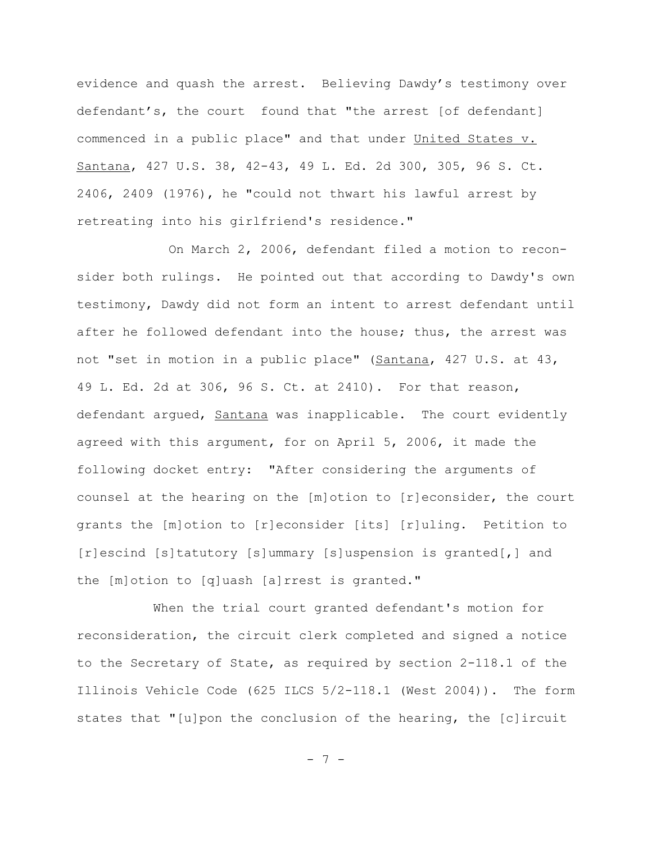evidence and quash the arrest. Believing Dawdy's testimony over defendant's, the court found that "the arrest [of defendant] commenced in a public place" and that under United States v. Santana, 427 U.S. 38, 42-43, 49 L. Ed. 2d 300, 305, 96 S. Ct. 2406, 2409 (1976), he "could not thwart his lawful arrest by retreating into his girlfriend's residence."

 On March 2, 2006, defendant filed a motion to reconsider both rulings. He pointed out that according to Dawdy's own testimony, Dawdy did not form an intent to arrest defendant until after he followed defendant into the house; thus, the arrest was not "set in motion in a public place" (Santana, 427 U.S. at 43, 49 L. Ed. 2d at 306, 96 S. Ct. at 2410). For that reason, defendant arqued, Santana was inapplicable. The court evidently agreed with this argument, for on April 5, 2006, it made the following docket entry: "After considering the arguments of counsel at the hearing on the [m]otion to [r]econsider, the court grants the [m]otion to [r]econsider [its] [r]uling. Petition to [r]escind [s]tatutory [s]ummary [s]uspension is granted[,] and the [m]otion to [q]uash [a]rrest is granted."

When the trial court granted defendant's motion for reconsideration, the circuit clerk completed and signed a notice to the Secretary of State, as required by section 2-118.1 of the Illinois Vehicle Code (625 ILCS 5/2-118.1 (West 2004)). The form states that "[u]pon the conclusion of the hearing, the [c]ircuit

- 7 -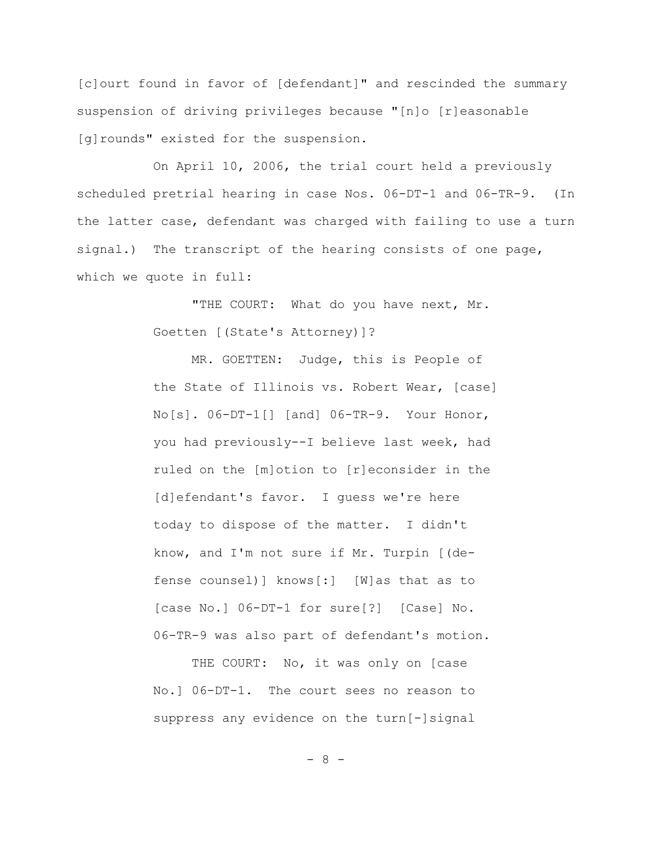[c]ourt found in favor of [defendant]" and rescinded the summary suspension of driving privileges because "[n]o [r]easonable [g]rounds" existed for the suspension.

On April 10, 2006, the trial court held a previously scheduled pretrial hearing in case Nos. 06-DT-1 and 06-TR-9. (In the latter case, defendant was charged with failing to use a turn signal.) The transcript of the hearing consists of one page, which we quote in full:

> "THE COURT: What do you have next, Mr. Goetten [(State's Attorney)]?

MR. GOETTEN: Judge, this is People of the State of Illinois vs. Robert Wear, [case] No[s]. 06-DT-1[] [and] 06-TR-9. Your Honor, you had previously--I believe last week, had ruled on the [m]otion to [r]econsider in the [d]efendant's favor. I quess we're here today to dispose of the matter. I didn't know, and I'm not sure if Mr. Turpin [(defense counsel)] knows[:] [W]as that as to [case No.] 06-DT-1 for sure[?] [Case] No. 06-TR-9 was also part of defendant's motion.

THE COURT: No, it was only on [case No.] 06-DT-1. The court sees no reason to suppress any evidence on the turn[-]signal

- 8 -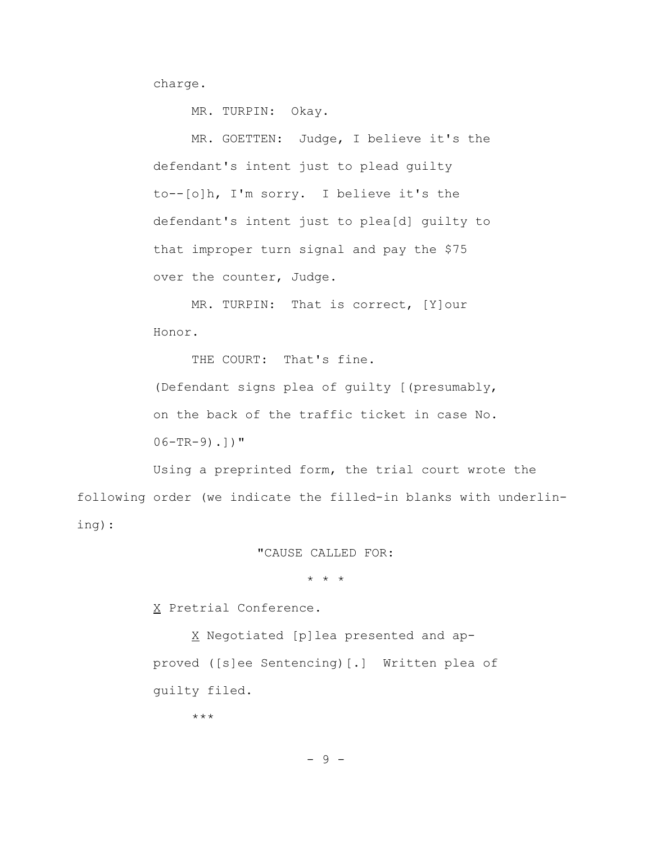charge.

MR. TURPIN: Okay.

MR. GOETTEN: Judge, I believe it's the defendant's intent just to plead guilty to--[o]h, I'm sorry. I believe it's the defendant's intent just to plea[d] guilty to that improper turn signal and pay the \$75 over the counter, Judge.

MR. TURPIN: That is correct, [Y]our Honor.

THE COURT: That's fine.

(Defendant signs plea of guilty [(presumably, on the back of the traffic ticket in case No.  $06-TR-9)$ .])"

Using a preprinted form, the trial court wrote the following order (we indicate the filled-in blanks with underlining):

"CAUSE CALLED FOR:

\* \* \*

X Pretrial Conference.

X Negotiated [p]lea presented and approved ([s]ee Sentencing)[.] Written plea of guilty filed.

\*\*\*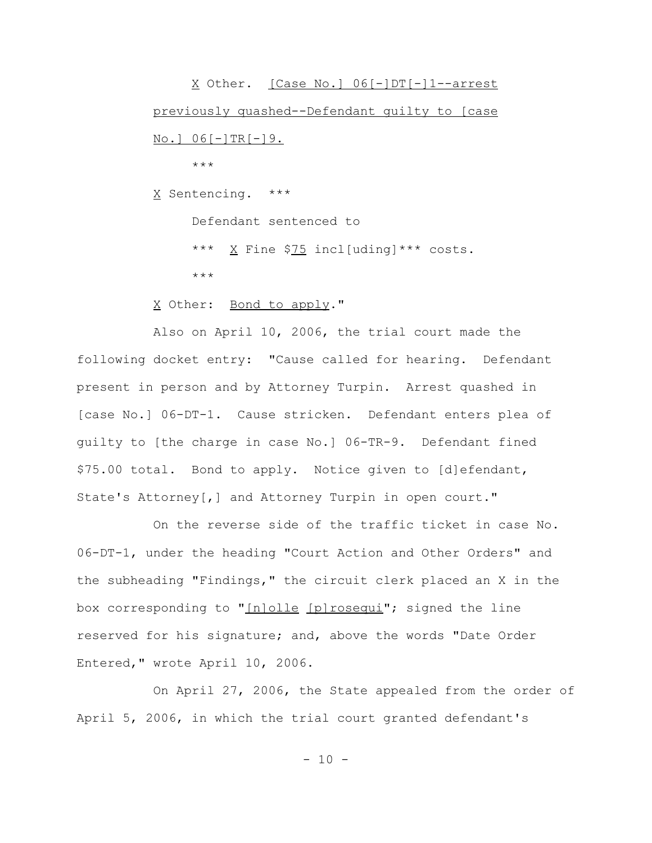X Other. [Case No.] 06[-]DT[-]1--arrest previously quashed--Defendant guilty to [case  $N_o$ .]  $06[-]TR[-]9$ . \*\*\*

X Sentencing. \*\*\*

Defendant sentenced to

\*\*\* X Fine \$75 incl[uding]\*\*\* costs. \*\*\*

X Other: Bond to apply."

Also on April 10, 2006, the trial court made the following docket entry: "Cause called for hearing. Defendant present in person and by Attorney Turpin. Arrest quashed in [case No.] 06-DT-1. Cause stricken. Defendant enters plea of guilty to [the charge in case No.] 06-TR-9. Defendant fined \$75.00 total. Bond to apply. Notice given to [d]efendant, State's Attorney[,] and Attorney Turpin in open court."

On the reverse side of the traffic ticket in case No. 06-DT-1, under the heading "Court Action and Other Orders" and the subheading "Findings," the circuit clerk placed an X in the box corresponding to "[n]olle [p]rosequi"; signed the line reserved for his signature; and, above the words "Date Order Entered," wrote April 10, 2006.

On April 27, 2006, the State appealed from the order of April 5, 2006, in which the trial court granted defendant's

 $- 10 -$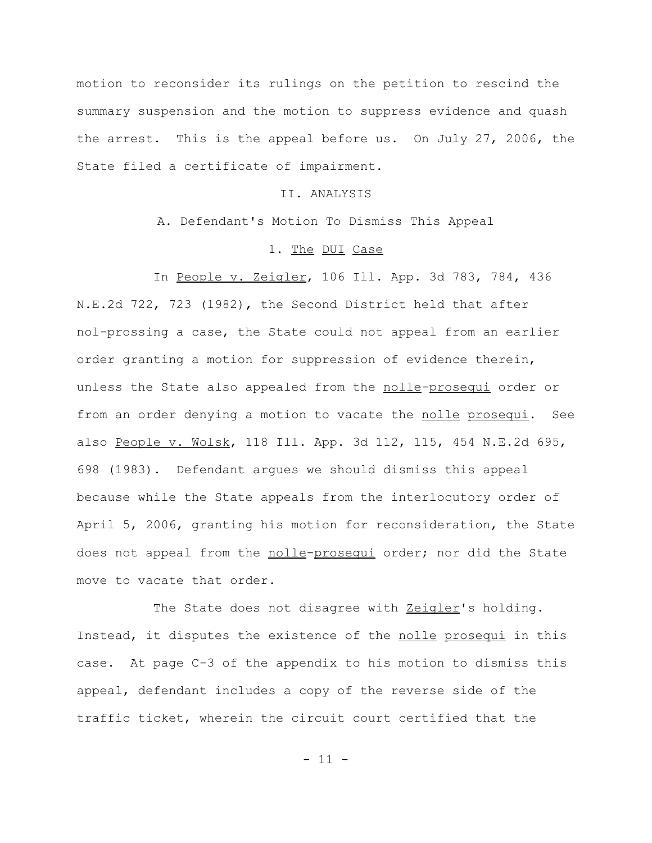motion to reconsider its rulings on the petition to rescind the summary suspension and the motion to suppress evidence and quash the arrest. This is the appeal before us. On July 27, 2006, the State filed a certificate of impairment.

## II. ANALYSIS

A. Defendant's Motion To Dismiss This Appeal

### 1. The DUI Case

In People v. Zeigler, 106 Ill. App. 3d 783, 784, 436 N.E.2d 722, 723 (1982), the Second District held that after nol-prossing a case, the State could not appeal from an earlier order granting a motion for suppression of evidence therein, unless the State also appealed from the nolle-prosequi order or from an order denying a motion to vacate the nolle prosequi. See also People v. Wolsk, 118 Ill. App. 3d 112, 115, 454 N.E.2d 695, 698 (1983). Defendant argues we should dismiss this appeal because while the State appeals from the interlocutory order of April 5, 2006, granting his motion for reconsideration, the State does not appeal from the nolle-prosequi order; nor did the State move to vacate that order.

The State does not disagree with Zeigler's holding. Instead, it disputes the existence of the nolle prosequi in this case. At page C-3 of the appendix to his motion to dismiss this appeal, defendant includes a copy of the reverse side of the traffic ticket, wherein the circuit court certified that the

 $- 11 -$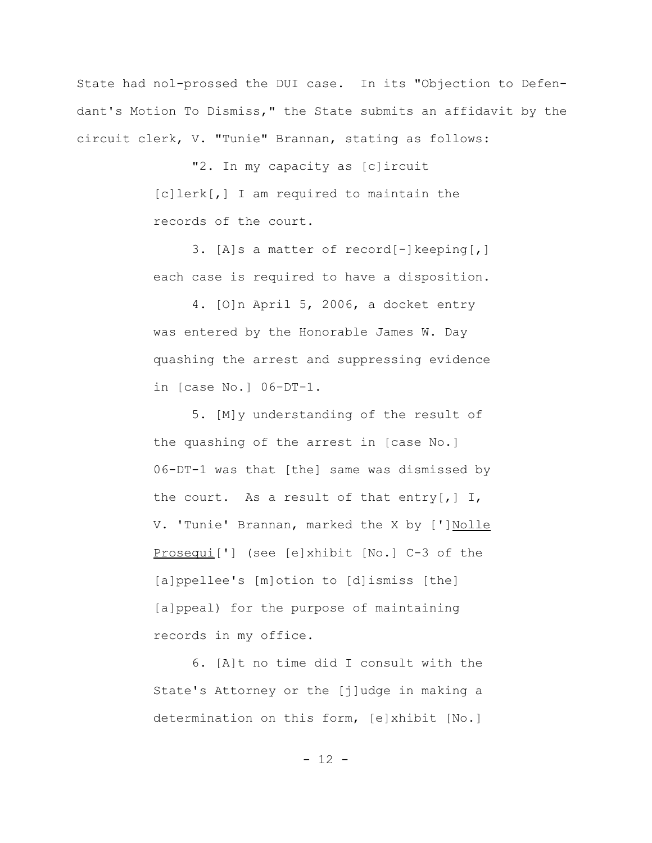State had nol-prossed the DUI case. In its "Objection to Defendant's Motion To Dismiss," the State submits an affidavit by the circuit clerk, V. "Tunie" Brannan, stating as follows:

> "2. In my capacity as [c]ircuit [c]lerk[,] I am required to maintain the records of the court.

3. [A]s a matter of record[-]keeping[,] each case is required to have a disposition.

4. [O]n April 5, 2006, a docket entry was entered by the Honorable James W. Day quashing the arrest and suppressing evidence in [case No.] 06-DT-1.

5. [M]y understanding of the result of the quashing of the arrest in [case No.] 06-DT-1 was that [the] same was dismissed by the court. As a result of that entry[,]  $I$ , V. 'Tunie' Brannan, marked the X by [']Nolle Prosequi['] (see [e]xhibit [No.] C-3 of the [a]ppellee's [m]otion to [d]ismiss [the] [a]ppeal) for the purpose of maintaining records in my office.

6. [A]t no time did I consult with the State's Attorney or the [j]udge in making a determination on this form, [e]xhibit [No.]

- 12 -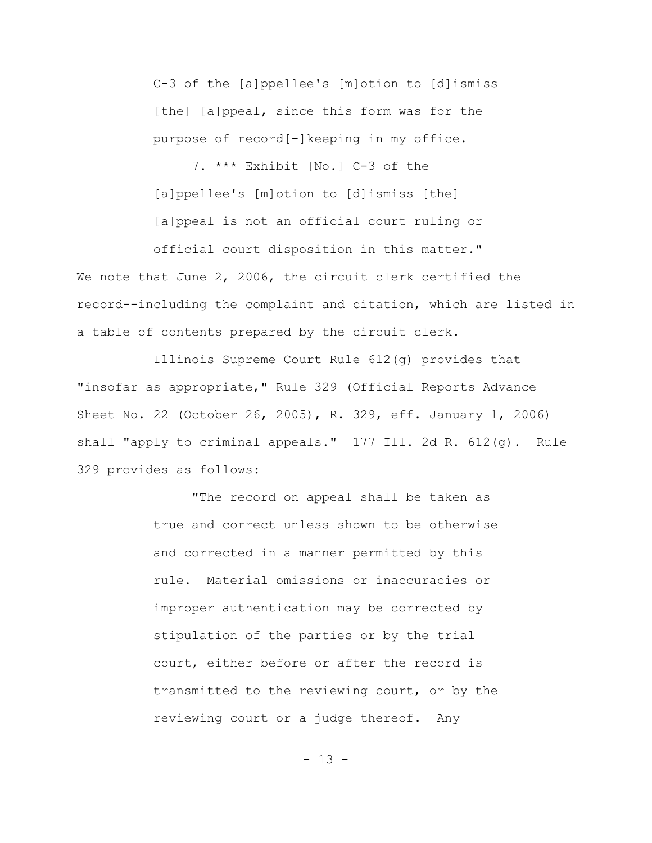C-3 of the [a]ppellee's [m]otion to [d]ismiss [the] [a]ppeal, since this form was for the purpose of record[-]keeping in my office.

7. \*\*\* Exhibit [No.] C-3 of the [a]ppellee's [m]otion to [d]ismiss [the] [a]ppeal is not an official court ruling or

We note that June 2, 2006, the circuit clerk certified the record--including the complaint and citation, which are listed in a table of contents prepared by the circuit clerk.

official court disposition in this matter."

Illinois Supreme Court Rule 612(g) provides that "insofar as appropriate," Rule 329 (Official Reports Advance Sheet No. 22 (October 26, 2005), R. 329, eff. January 1, 2006) shall "apply to criminal appeals." 177 Ill. 2d R. 612(g). Rule 329 provides as follows:

> "The record on appeal shall be taken as true and correct unless shown to be otherwise and corrected in a manner permitted by this rule. Material omissions or inaccuracies or improper authentication may be corrected by stipulation of the parties or by the trial court, either before or after the record is transmitted to the reviewing court, or by the reviewing court or a judge thereof. Any

> > $- 13 -$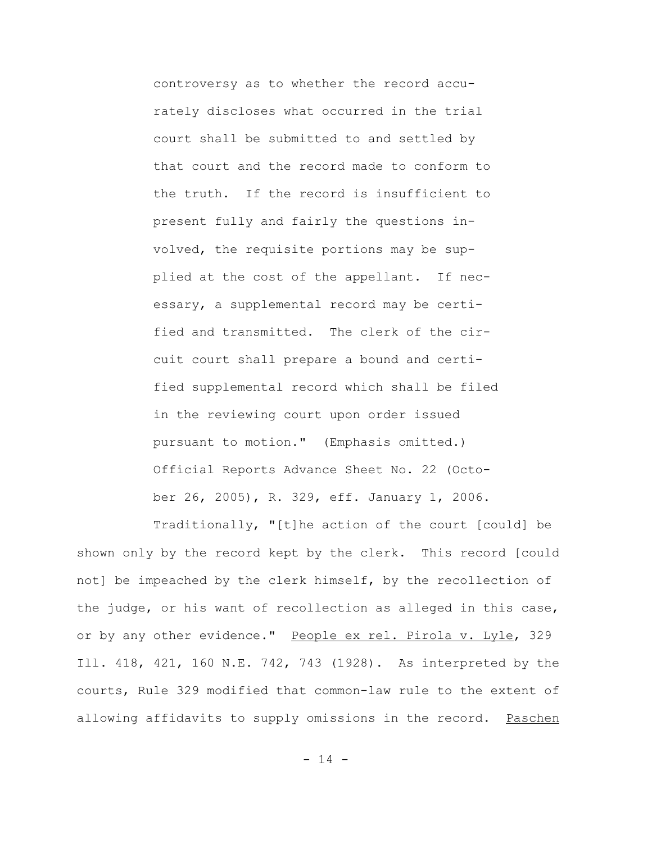controversy as to whether the record accurately discloses what occurred in the trial court shall be submitted to and settled by that court and the record made to conform to the truth. If the record is insufficient to present fully and fairly the questions involved, the requisite portions may be supplied at the cost of the appellant. If necessary, a supplemental record may be certified and transmitted. The clerk of the circuit court shall prepare a bound and certified supplemental record which shall be filed in the reviewing court upon order issued pursuant to motion." (Emphasis omitted.) Official Reports Advance Sheet No. 22 (October 26, 2005), R. 329, eff. January 1, 2006.

Traditionally, "[t]he action of the court [could] be shown only by the record kept by the clerk. This record [could not] be impeached by the clerk himself, by the recollection of the judge, or his want of recollection as alleged in this case, or by any other evidence." People ex rel. Pirola v. Lyle, 329 Ill. 418, 421, 160 N.E. 742, 743 (1928). As interpreted by the courts, Rule 329 modified that common-law rule to the extent of allowing affidavits to supply omissions in the record. Paschen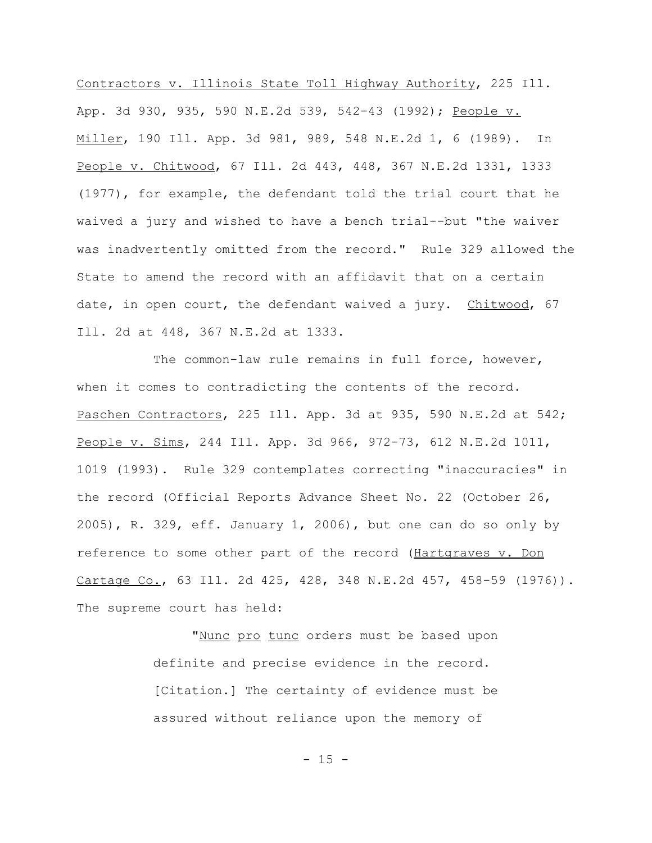Contractors v. Illinois State Toll Highway Authority, 225 Ill. App. 3d 930, 935, 590 N.E.2d 539, 542-43 (1992); People v. Miller, 190 Ill. App. 3d 981, 989, 548 N.E.2d 1, 6 (1989). In People v. Chitwood, 67 Ill. 2d 443, 448, 367 N.E.2d 1331, 1333 (1977), for example, the defendant told the trial court that he waived a jury and wished to have a bench trial--but "the waiver was inadvertently omitted from the record." Rule 329 allowed the State to amend the record with an affidavit that on a certain date, in open court, the defendant waived a jury. Chitwood, 67 Ill. 2d at 448, 367 N.E.2d at 1333.

The common-law rule remains in full force, however, when it comes to contradicting the contents of the record. Paschen Contractors, 225 Ill. App. 3d at 935, 590 N.E.2d at 542; People v. Sims, 244 Ill. App. 3d 966, 972-73, 612 N.E.2d 1011, 1019 (1993). Rule 329 contemplates correcting "inaccuracies" in the record (Official Reports Advance Sheet No. 22 (October 26,  $2005$ , R. 329, eff. January 1, 2006), but one can do so only by reference to some other part of the record (Hartgraves v. Don Cartage Co., 63 Ill. 2d 425, 428, 348 N.E.2d 457, 458-59 (1976)). The supreme court has held:

> "Nunc pro tunc orders must be based upon definite and precise evidence in the record. [Citation.] The certainty of evidence must be assured without reliance upon the memory of

> > $- 15 -$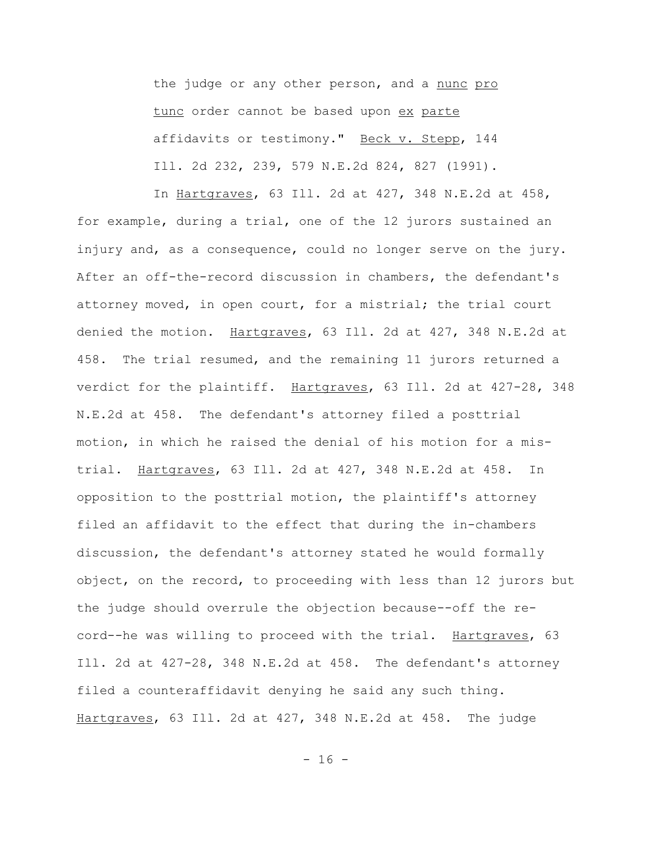the judge or any other person, and a nunc pro tunc order cannot be based upon ex parte affidavits or testimony." Beck v. Stepp, 144 Ill. 2d 232, 239, 579 N.E.2d 824, 827 (1991).

 In Hartgraves, 63 Ill. 2d at 427, 348 N.E.2d at 458, for example, during a trial, one of the 12 jurors sustained an injury and, as a consequence, could no longer serve on the jury. After an off-the-record discussion in chambers, the defendant's attorney moved, in open court, for a mistrial; the trial court denied the motion. Hartgraves, 63 Ill. 2d at 427, 348 N.E.2d at 458. The trial resumed, and the remaining 11 jurors returned a verdict for the plaintiff. Hartgraves, 63 Ill. 2d at 427-28, 348 N.E.2d at 458. The defendant's attorney filed a posttrial motion, in which he raised the denial of his motion for a mistrial. Hartgraves, 63 Ill. 2d at 427, 348 N.E.2d at 458. In opposition to the posttrial motion, the plaintiff's attorney filed an affidavit to the effect that during the in-chambers discussion, the defendant's attorney stated he would formally object, on the record, to proceeding with less than 12 jurors but the judge should overrule the objection because--off the record--he was willing to proceed with the trial. Hartgraves, 63 Ill. 2d at 427-28, 348 N.E.2d at 458. The defendant's attorney filed a counteraffidavit denying he said any such thing. Hartgraves, 63 Ill. 2d at 427, 348 N.E.2d at 458. The judge

- 16 -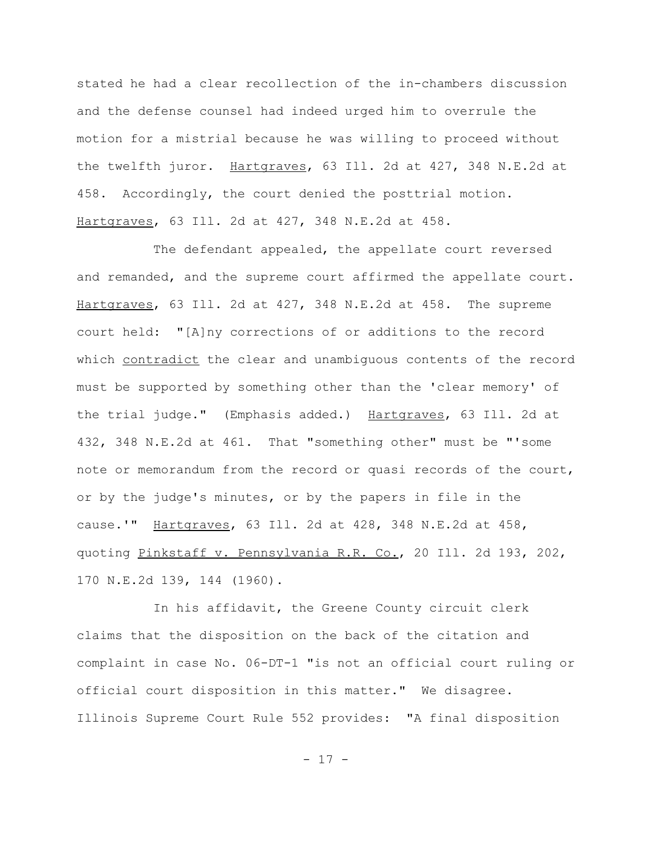stated he had a clear recollection of the in-chambers discussion and the defense counsel had indeed urged him to overrule the motion for a mistrial because he was willing to proceed without the twelfth juror. Hartgraves, 63 Ill. 2d at 427, 348 N.E.2d at 458. Accordingly, the court denied the posttrial motion. Hartgraves, 63 Ill. 2d at 427, 348 N.E.2d at 458.

The defendant appealed, the appellate court reversed and remanded, and the supreme court affirmed the appellate court. Hartgraves, 63 Ill. 2d at 427, 348 N.E.2d at 458. The supreme court held: "[A]ny corrections of or additions to the record which contradict the clear and unambiguous contents of the record must be supported by something other than the 'clear memory' of the trial judge." (Emphasis added.) Hartgraves, 63 Ill. 2d at 432, 348 N.E.2d at 461. That "something other" must be "'some note or memorandum from the record or quasi records of the court, or by the judge's minutes, or by the papers in file in the cause.'" Hartgraves, 63 Ill. 2d at 428, 348 N.E.2d at 458, quoting Pinkstaff v. Pennsylvania R.R. Co., 20 Ill. 2d 193, 202, 170 N.E.2d 139, 144 (1960).

In his affidavit, the Greene County circuit clerk claims that the disposition on the back of the citation and complaint in case No. 06-DT-1 "is not an official court ruling or official court disposition in this matter." We disagree. Illinois Supreme Court Rule 552 provides: "A final disposition

- 17 -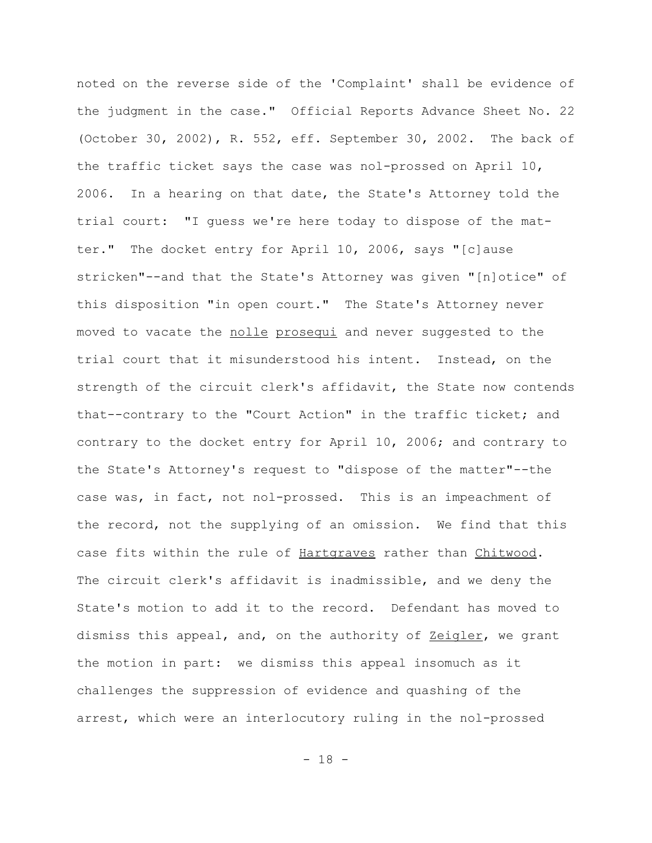noted on the reverse side of the 'Complaint' shall be evidence of the judgment in the case." Official Reports Advance Sheet No. 22 (October 30, 2002), R. 552, eff. September 30, 2002. The back of the traffic ticket says the case was nol-prossed on April 10, 2006. In a hearing on that date, the State's Attorney told the trial court: "I guess we're here today to dispose of the matter." The docket entry for April 10, 2006, says "[c]ause stricken"--and that the State's Attorney was given "[n]otice" of this disposition "in open court." The State's Attorney never moved to vacate the nolle prosequi and never suggested to the trial court that it misunderstood his intent. Instead, on the strength of the circuit clerk's affidavit, the State now contends that--contrary to the "Court Action" in the traffic ticket; and contrary to the docket entry for April 10, 2006; and contrary to the State's Attorney's request to "dispose of the matter"--the case was, in fact, not nol-prossed. This is an impeachment of the record, not the supplying of an omission. We find that this case fits within the rule of Hartgraves rather than Chitwood. The circuit clerk's affidavit is inadmissible, and we deny the State's motion to add it to the record. Defendant has moved to dismiss this appeal, and, on the authority of Zeigler, we grant the motion in part: we dismiss this appeal insomuch as it challenges the suppression of evidence and quashing of the arrest, which were an interlocutory ruling in the nol-prossed

- 18 -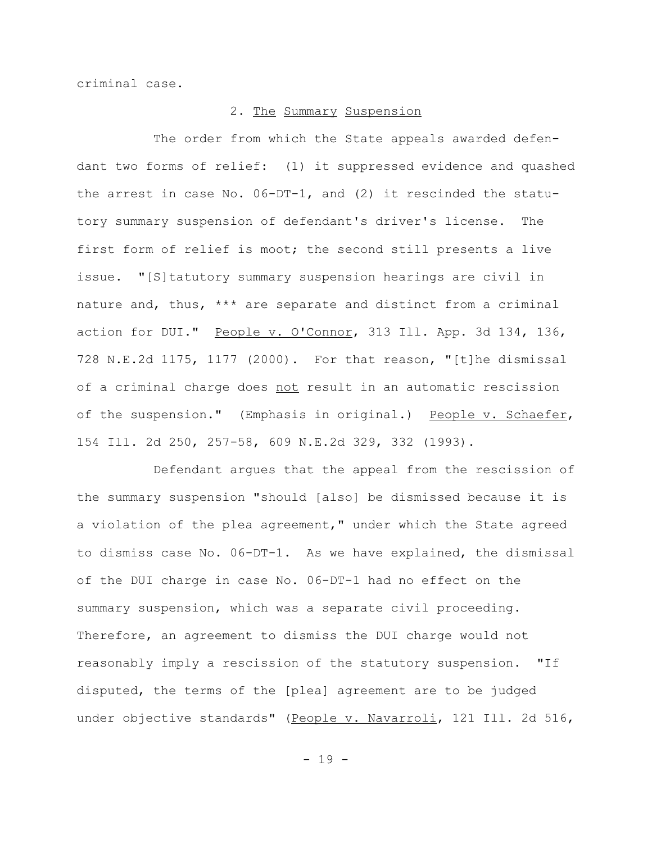criminal case.

## 2. The Summary Suspension

The order from which the State appeals awarded defendant two forms of relief: (1) it suppressed evidence and quashed the arrest in case No. 06-DT-1, and (2) it rescinded the statutory summary suspension of defendant's driver's license. The first form of relief is moot; the second still presents a live issue. "[S]tatutory summary suspension hearings are civil in nature and, thus, \*\*\* are separate and distinct from a criminal action for DUI." People v. O'Connor, 313 Ill. App. 3d 134, 136, 728 N.E.2d 1175, 1177 (2000). For that reason, "[t]he dismissal of a criminal charge does not result in an automatic rescission of the suspension." (Emphasis in original.) People v. Schaefer, 154 Ill. 2d 250, 257-58, 609 N.E.2d 329, 332 (1993).

Defendant argues that the appeal from the rescission of the summary suspension "should [also] be dismissed because it is a violation of the plea agreement," under which the State agreed to dismiss case No. 06-DT-1. As we have explained, the dismissal of the DUI charge in case No. 06-DT-1 had no effect on the summary suspension, which was a separate civil proceeding. Therefore, an agreement to dismiss the DUI charge would not reasonably imply a rescission of the statutory suspension. "If disputed, the terms of the [plea] agreement are to be judged under objective standards" (People v. Navarroli, 121 Ill. 2d 516,

- 19 -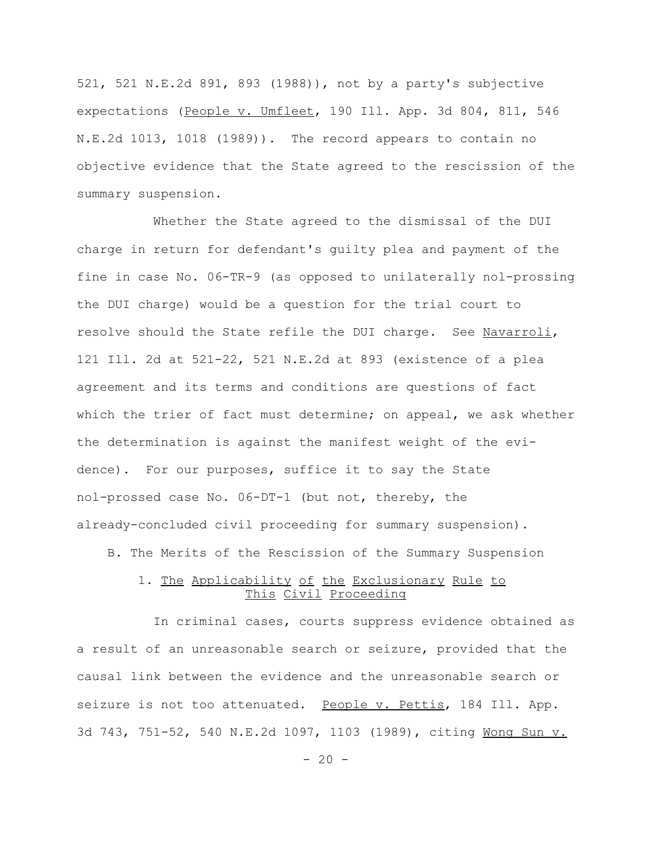521, 521 N.E.2d 891, 893 (1988)), not by a party's subjective expectations (People v. Umfleet, 190 Ill. App. 3d 804, 811, 546 N.E.2d 1013, 1018 (1989)). The record appears to contain no objective evidence that the State agreed to the rescission of the summary suspension.

Whether the State agreed to the dismissal of the DUI charge in return for defendant's guilty plea and payment of the fine in case No. 06-TR-9 (as opposed to unilaterally nol-prossing the DUI charge) would be a question for the trial court to resolve should the State refile the DUI charge. See Navarroli, 121 Ill. 2d at 521-22, 521 N.E.2d at 893 (existence of a plea agreement and its terms and conditions are questions of fact which the trier of fact must determine; on appeal, we ask whether the determination is against the manifest weight of the evidence). For our purposes, suffice it to say the State nol-prossed case No. 06-DT-1 (but not, thereby, the already-concluded civil proceeding for summary suspension).

B. The Merits of the Rescission of the Summary Suspension

# 1. The Applicability of the Exclusionary Rule to This Civil Proceeding

In criminal cases, courts suppress evidence obtained as a result of an unreasonable search or seizure, provided that the causal link between the evidence and the unreasonable search or seizure is not too attenuated. People v. Pettis, 184 Ill. App. 3d 743, 751-52, 540 N.E.2d 1097, 1103 (1989), citing Wong Sun v.

 $- 20 -$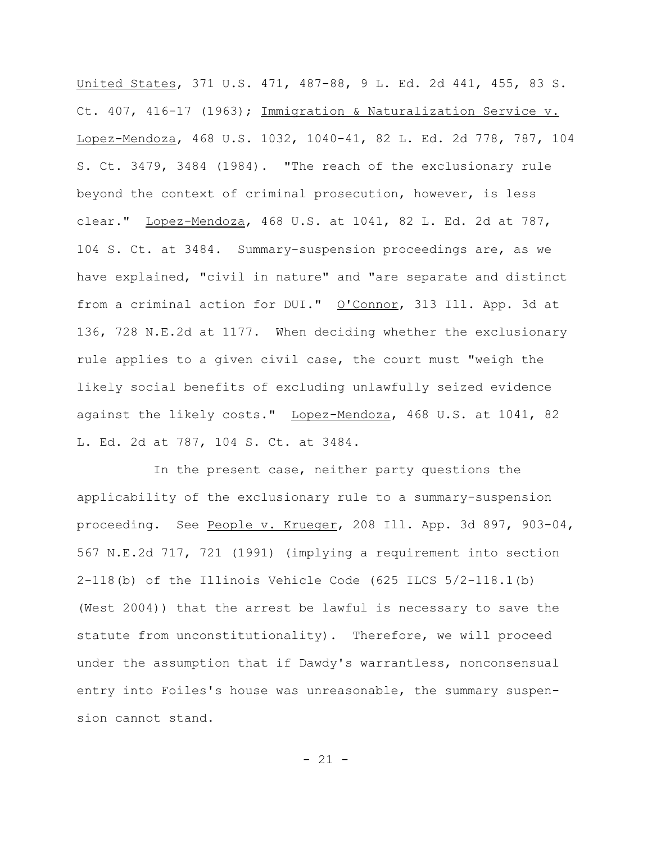United States, 371 U.S. 471, 487-88, 9 L. Ed. 2d 441, 455, 83 S. Ct. 407, 416-17 (1963); Immigration & Naturalization Service v. Lopez-Mendoza, 468 U.S. 1032, 1040-41, 82 L. Ed. 2d 778, 787, 104 S. Ct. 3479, 3484 (1984). "The reach of the exclusionary rule beyond the context of criminal prosecution, however, is less clear." Lopez-Mendoza, 468 U.S. at 1041, 82 L. Ed. 2d at 787, 104 S. Ct. at 3484. Summary-suspension proceedings are, as we have explained, "civil in nature" and "are separate and distinct from a criminal action for DUI." O'Connor, 313 Ill. App. 3d at 136, 728 N.E.2d at 1177. When deciding whether the exclusionary rule applies to a given civil case, the court must "weigh the likely social benefits of excluding unlawfully seized evidence against the likely costs." Lopez-Mendoza, 468 U.S. at 1041, 82 L. Ed. 2d at 787, 104 S. Ct. at 3484.

In the present case, neither party questions the applicability of the exclusionary rule to a summary-suspension proceeding. See People v. Krueger, 208 Ill. App. 3d 897, 903-04, 567 N.E.2d 717, 721 (1991) (implying a requirement into section 2-118(b) of the Illinois Vehicle Code (625 ILCS 5/2-118.1(b) (West 2004)) that the arrest be lawful is necessary to save the statute from unconstitutionality). Therefore, we will proceed under the assumption that if Dawdy's warrantless, nonconsensual entry into Foiles's house was unreasonable, the summary suspension cannot stand.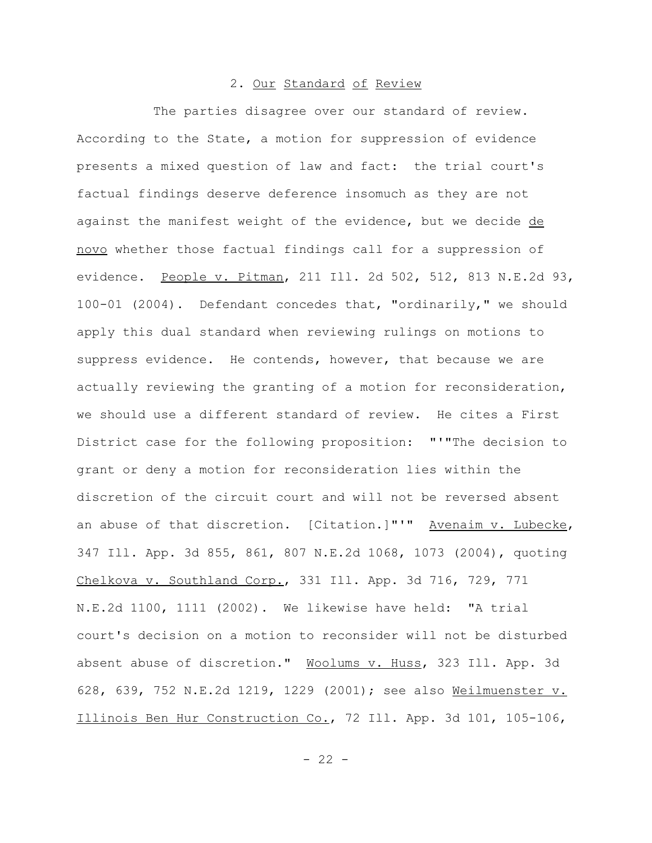### 2. Our Standard of Review

The parties disagree over our standard of review. According to the State, a motion for suppression of evidence presents a mixed question of law and fact: the trial court's factual findings deserve deference insomuch as they are not against the manifest weight of the evidence, but we decide de novo whether those factual findings call for a suppression of evidence. People v. Pitman, 211 Ill. 2d 502, 512, 813 N.E.2d 93, 100-01 (2004). Defendant concedes that, "ordinarily," we should apply this dual standard when reviewing rulings on motions to suppress evidence. He contends, however, that because we are actually reviewing the granting of a motion for reconsideration, we should use a different standard of review. He cites a First District case for the following proposition: "'"The decision to grant or deny a motion for reconsideration lies within the discretion of the circuit court and will not be reversed absent an abuse of that discretion. [Citation.]"'" Avenaim v. Lubecke, 347 Ill. App. 3d 855, 861, 807 N.E.2d 1068, 1073 (2004), quoting Chelkova v. Southland Corp., 331 Ill. App. 3d 716, 729, 771 N.E.2d 1100, 1111 (2002). We likewise have held: "A trial court's decision on a motion to reconsider will not be disturbed absent abuse of discretion." Woolums v. Huss, 323 Ill. App. 3d 628, 639, 752 N.E.2d 1219, 1229 (2001); see also Weilmuenster v. Illinois Ben Hur Construction Co., 72 Ill. App. 3d 101, 105-106,

 $- 22 -$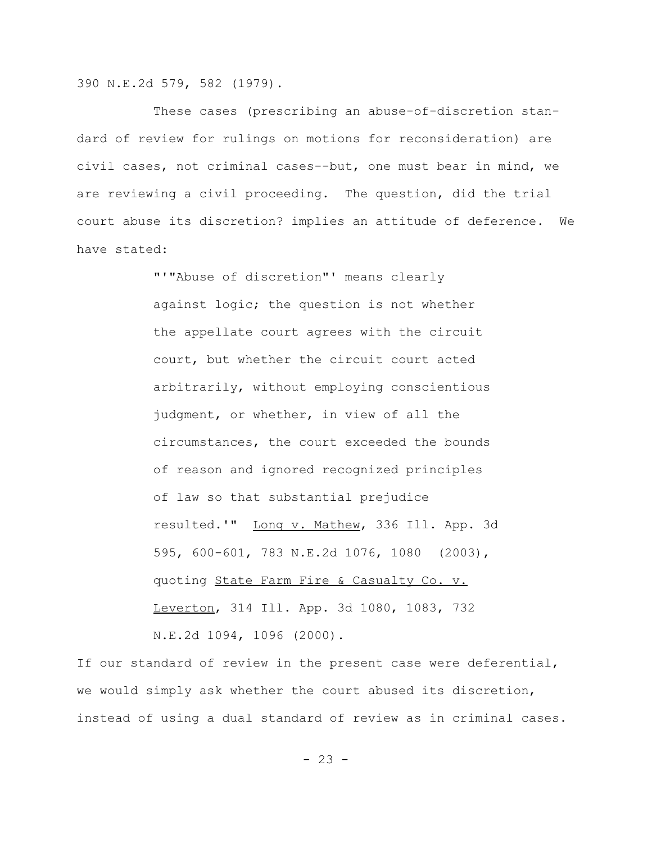390 N.E.2d 579, 582 (1979).

These cases (prescribing an abuse-of-discretion standard of review for rulings on motions for reconsideration) are civil cases, not criminal cases--but, one must bear in mind, we are reviewing a civil proceeding. The question, did the trial court abuse its discretion? implies an attitude of deference. We have stated:

> "'"Abuse of discretion"' means clearly against logic; the question is not whether the appellate court agrees with the circuit court, but whether the circuit court acted arbitrarily, without employing conscientious judgment, or whether, in view of all the circumstances, the court exceeded the bounds of reason and ignored recognized principles of law so that substantial prejudice resulted.'" Long v. Mathew, 336 Ill. App. 3d 595, 600-601, 783 N.E.2d 1076, 1080 (2003), quoting State Farm Fire & Casualty Co. v. Leverton, 314 Ill. App. 3d 1080, 1083, 732 N.E.2d 1094, 1096 (2000).

If our standard of review in the present case were deferential, we would simply ask whether the court abused its discretion, instead of using a dual standard of review as in criminal cases.

 $- 23 -$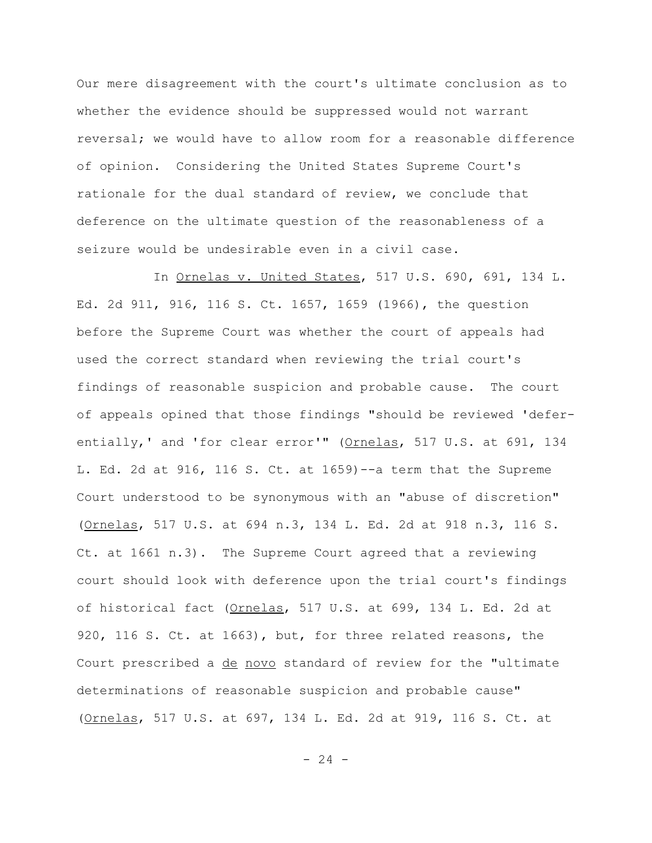Our mere disagreement with the court's ultimate conclusion as to whether the evidence should be suppressed would not warrant reversal; we would have to allow room for a reasonable difference of opinion. Considering the United States Supreme Court's rationale for the dual standard of review, we conclude that deference on the ultimate question of the reasonableness of a seizure would be undesirable even in a civil case.

In Ornelas v. United States, 517 U.S. 690, 691, 134 L. Ed. 2d 911, 916, 116 S. Ct. 1657, 1659 (1966), the question before the Supreme Court was whether the court of appeals had used the correct standard when reviewing the trial court's findings of reasonable suspicion and probable cause. The court of appeals opined that those findings "should be reviewed 'deferentially,' and 'for clear error'" (Ornelas, 517 U.S. at 691, 134 L. Ed. 2d at 916, 116 S. Ct. at 1659)--a term that the Supreme Court understood to be synonymous with an "abuse of discretion" (Ornelas, 517 U.S. at 694 n.3, 134 L. Ed. 2d at 918 n.3, 116 S. Ct. at 1661 n.3). The Supreme Court agreed that a reviewing court should look with deference upon the trial court's findings of historical fact (Ornelas, 517 U.S. at 699, 134 L. Ed. 2d at 920, 116 S. Ct. at 1663), but, for three related reasons, the Court prescribed a de novo standard of review for the "ultimate determinations of reasonable suspicion and probable cause" (Ornelas, 517 U.S. at 697, 134 L. Ed. 2d at 919, 116 S. Ct. at

- 24 -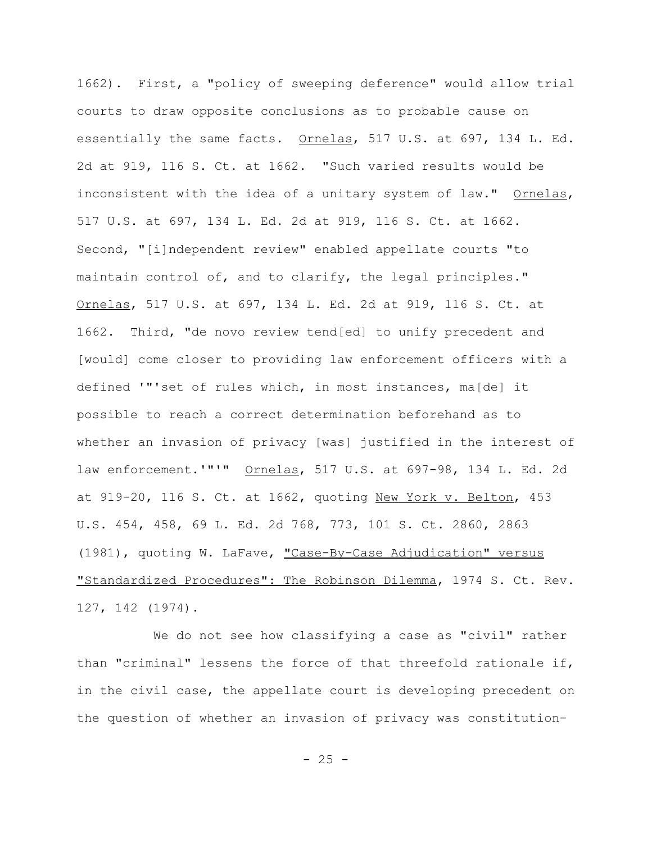1662). First, a "policy of sweeping deference" would allow trial courts to draw opposite conclusions as to probable cause on essentially the same facts. Ornelas, 517 U.S. at 697, 134 L. Ed. 2d at 919, 116 S. Ct. at 1662. "Such varied results would be inconsistent with the idea of a unitary system of law." Ornelas, 517 U.S. at 697, 134 L. Ed. 2d at 919, 116 S. Ct. at 1662. Second, "[i]ndependent review" enabled appellate courts "to maintain control of, and to clarify, the legal principles." Ornelas, 517 U.S. at 697, 134 L. Ed. 2d at 919, 116 S. Ct. at 1662. Third, "de novo review tend[ed] to unify precedent and [would] come closer to providing law enforcement officers with a defined '"'set of rules which, in most instances, ma[de] it possible to reach a correct determination beforehand as to whether an invasion of privacy [was] justified in the interest of law enforcement.'"'" Ornelas, 517 U.S. at 697-98, 134 L. Ed. 2d at 919-20, 116 S. Ct. at 1662, quoting New York v. Belton, 453 U.S. 454, 458, 69 L. Ed. 2d 768, 773, 101 S. Ct. 2860, 2863 (1981), quoting W. LaFave, "Case-By-Case Adjudication" versus "Standardized Procedures": The Robinson Dilemma, 1974 S. Ct. Rev. 127, 142 (1974).

We do not see how classifying a case as "civil" rather than "criminal" lessens the force of that threefold rationale if, in the civil case, the appellate court is developing precedent on the question of whether an invasion of privacy was constitution-

 $- 25 -$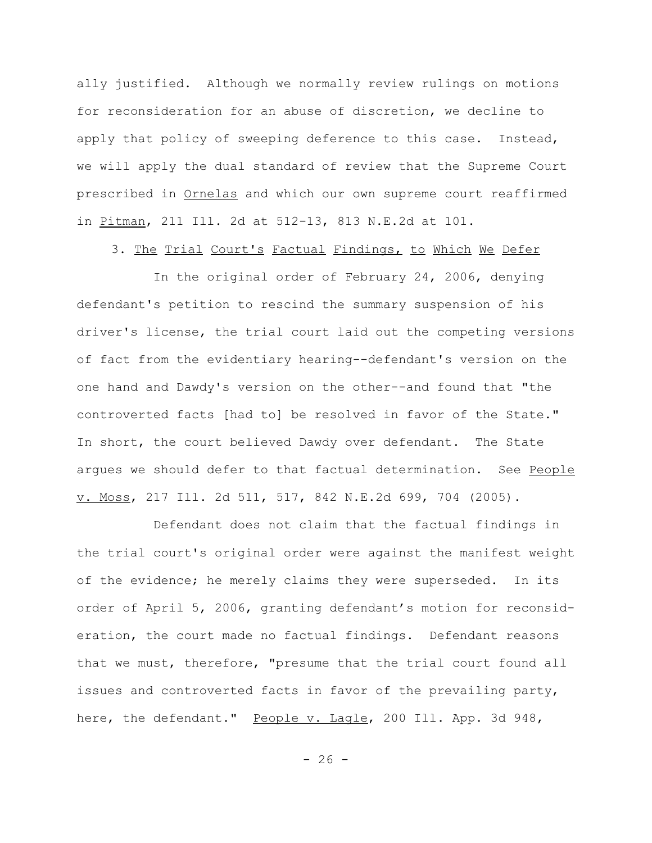ally justified. Although we normally review rulings on motions for reconsideration for an abuse of discretion, we decline to apply that policy of sweeping deference to this case. Instead, we will apply the dual standard of review that the Supreme Court prescribed in Ornelas and which our own supreme court reaffirmed in Pitman, 211 Ill. 2d at 512-13, 813 N.E.2d at 101.

3. The Trial Court's Factual Findings, to Which We Defer

In the original order of February 24, 2006, denying defendant's petition to rescind the summary suspension of his driver's license, the trial court laid out the competing versions of fact from the evidentiary hearing--defendant's version on the one hand and Dawdy's version on the other--and found that "the controverted facts [had to] be resolved in favor of the State." In short, the court believed Dawdy over defendant. The State argues we should defer to that factual determination. See People v. Moss, 217 Ill. 2d 511, 517, 842 N.E.2d 699, 704 (2005).

Defendant does not claim that the factual findings in the trial court's original order were against the manifest weight of the evidence; he merely claims they were superseded. In its order of April 5, 2006, granting defendant's motion for reconsideration, the court made no factual findings. Defendant reasons that we must, therefore, "presume that the trial court found all issues and controverted facts in favor of the prevailing party, here, the defendant." People v. Lagle, 200 Ill. App. 3d 948,

 $- 26 -$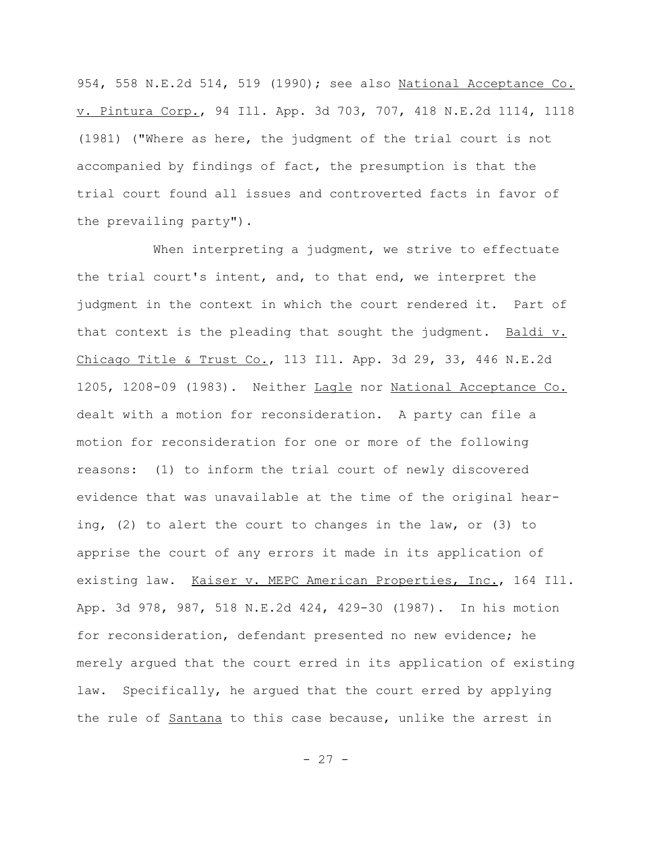954, 558 N.E.2d 514, 519 (1990); see also National Acceptance Co. v. Pintura Corp., 94 Ill. App. 3d 703, 707, 418 N.E.2d 1114, 1118 (1981) ("Where as here, the judgment of the trial court is not accompanied by findings of fact, the presumption is that the trial court found all issues and controverted facts in favor of the prevailing party").

When interpreting a judgment, we strive to effectuate the trial court's intent, and, to that end, we interpret the judgment in the context in which the court rendered it. Part of that context is the pleading that sought the judgment. Baldi v. Chicago Title & Trust Co., 113 Ill. App. 3d 29, 33, 446 N.E.2d 1205, 1208-09 (1983). Neither Lagle nor National Acceptance Co. dealt with a motion for reconsideration. A party can file a motion for reconsideration for one or more of the following reasons: (1) to inform the trial court of newly discovered evidence that was unavailable at the time of the original hearing, (2) to alert the court to changes in the law, or (3) to apprise the court of any errors it made in its application of existing law. Kaiser v. MEPC American Properties, Inc., 164 Ill. App. 3d 978, 987, 518 N.E.2d 424, 429-30 (1987). In his motion for reconsideration, defendant presented no new evidence; he merely argued that the court erred in its application of existing law. Specifically, he argued that the court erred by applying the rule of Santana to this case because, unlike the arrest in

 $- 27 -$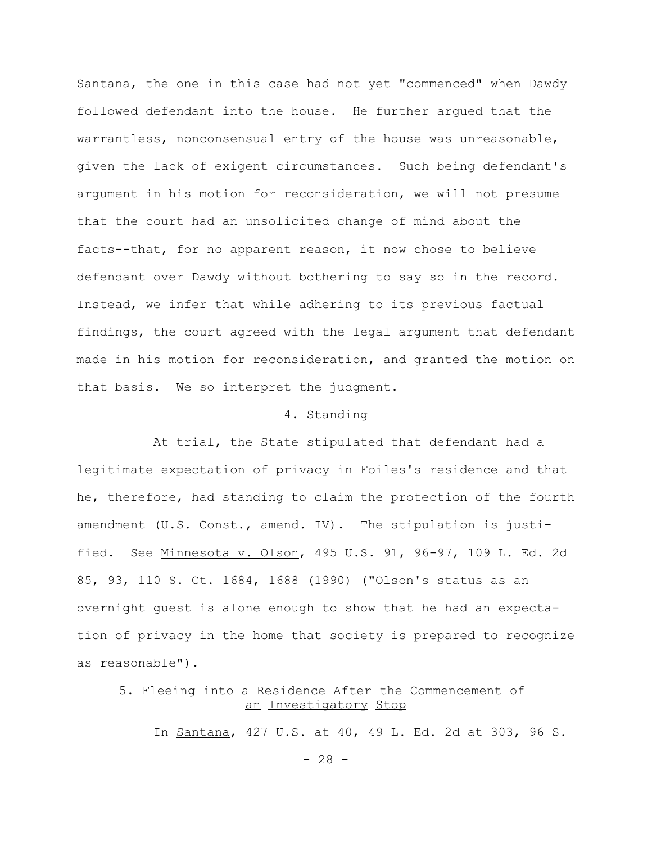Santana, the one in this case had not yet "commenced" when Dawdy followed defendant into the house. He further argued that the warrantless, nonconsensual entry of the house was unreasonable, given the lack of exigent circumstances. Such being defendant's argument in his motion for reconsideration, we will not presume that the court had an unsolicited change of mind about the facts--that, for no apparent reason, it now chose to believe defendant over Dawdy without bothering to say so in the record. Instead, we infer that while adhering to its previous factual findings, the court agreed with the legal argument that defendant made in his motion for reconsideration, and granted the motion on that basis. We so interpret the judgment.

### 4. Standing

At trial, the State stipulated that defendant had a legitimate expectation of privacy in Foiles's residence and that he, therefore, had standing to claim the protection of the fourth amendment (U.S. Const., amend. IV). The stipulation is justified. See Minnesota v. Olson, 495 U.S. 91, 96-97, 109 L. Ed. 2d 85, 93, 110 S. Ct. 1684, 1688 (1990) ("Olson's status as an overnight guest is alone enough to show that he had an expectation of privacy in the home that society is prepared to recognize as reasonable").

# 5. Fleeing into a Residence After the Commencement of an Investigatory Stop

In Santana, 427 U.S. at 40, 49 L. Ed. 2d at 303, 96 S.

 $- 28 -$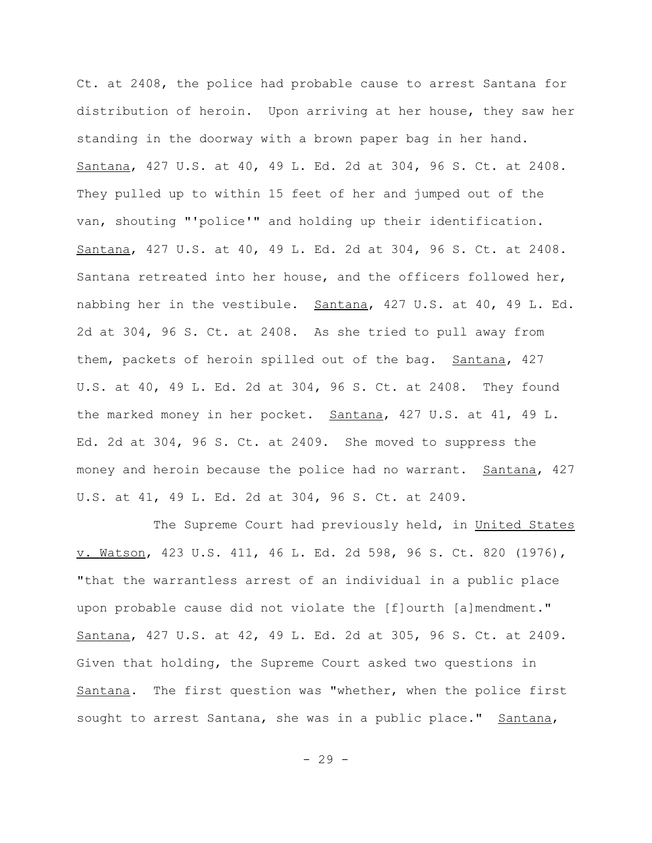Ct. at 2408, the police had probable cause to arrest Santana for distribution of heroin. Upon arriving at her house, they saw her standing in the doorway with a brown paper bag in her hand. Santana, 427 U.S. at 40, 49 L. Ed. 2d at 304, 96 S. Ct. at 2408. They pulled up to within 15 feet of her and jumped out of the van, shouting "'police'" and holding up their identification. Santana, 427 U.S. at 40, 49 L. Ed. 2d at 304, 96 S. Ct. at 2408. Santana retreated into her house, and the officers followed her, nabbing her in the vestibule. Santana, 427 U.S. at 40, 49 L. Ed. 2d at 304, 96 S. Ct. at 2408. As she tried to pull away from them, packets of heroin spilled out of the bag. Santana, 427 U.S. at 40, 49 L. Ed. 2d at 304, 96 S. Ct. at 2408. They found the marked money in her pocket. Santana, 427 U.S. at 41, 49 L. Ed. 2d at 304, 96 S. Ct. at 2409. She moved to suppress the money and heroin because the police had no warrant. Santana, 427 U.S. at 41, 49 L. Ed. 2d at 304, 96 S. Ct. at 2409.

The Supreme Court had previously held, in United States v. Watson, 423 U.S. 411, 46 L. Ed. 2d 598, 96 S. Ct. 820 (1976), "that the warrantless arrest of an individual in a public place upon probable cause did not violate the [f]ourth [a]mendment." Santana, 427 U.S. at 42, 49 L. Ed. 2d at 305, 96 S. Ct. at 2409. Given that holding, the Supreme Court asked two questions in Santana. The first question was "whether, when the police first sought to arrest Santana, she was in a public place." Santana,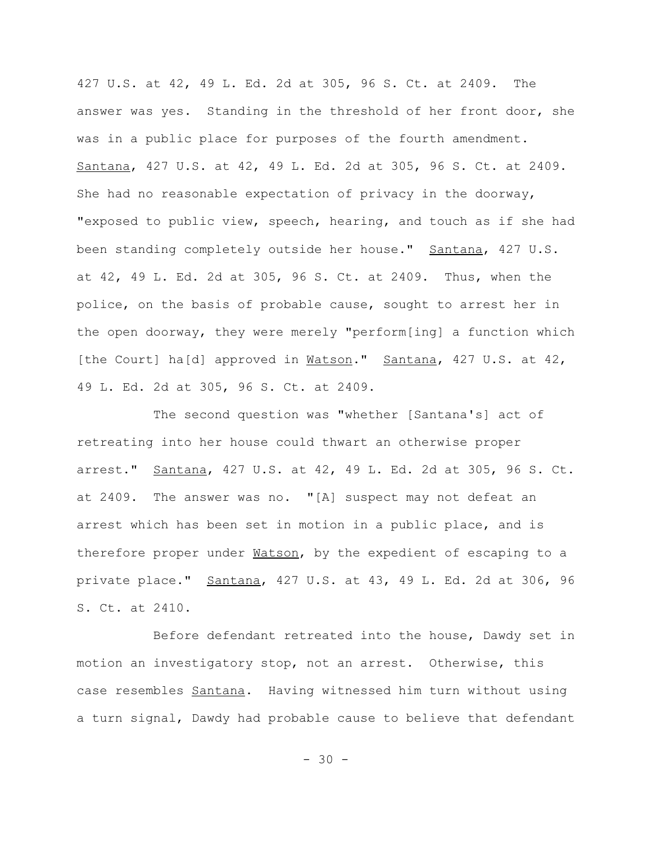427 U.S. at 42, 49 L. Ed. 2d at 305, 96 S. Ct. at 2409. The answer was yes. Standing in the threshold of her front door, she was in a public place for purposes of the fourth amendment. Santana, 427 U.S. at 42, 49 L. Ed. 2d at 305, 96 S. Ct. at 2409. She had no reasonable expectation of privacy in the doorway, "exposed to public view, speech, hearing, and touch as if she had been standing completely outside her house." Santana, 427 U.S. at 42, 49 L. Ed. 2d at 305, 96 S. Ct. at 2409. Thus, when the police, on the basis of probable cause, sought to arrest her in the open doorway, they were merely "perform[ing] a function which [the Court] ha[d] approved in Watson." Santana, 427 U.S. at 42, 49 L. Ed. 2d at 305, 96 S. Ct. at 2409.

The second question was "whether [Santana's] act of retreating into her house could thwart an otherwise proper arrest." Santana, 427 U.S. at 42, 49 L. Ed. 2d at 305, 96 S. Ct. at 2409. The answer was no. "[A] suspect may not defeat an arrest which has been set in motion in a public place, and is therefore proper under Watson, by the expedient of escaping to a private place." Santana, 427 U.S. at 43, 49 L. Ed. 2d at 306, 96 S. Ct. at 2410.

Before defendant retreated into the house, Dawdy set in motion an investigatory stop, not an arrest. Otherwise, this case resembles Santana. Having witnessed him turn without using a turn signal, Dawdy had probable cause to believe that defendant

 $- 30 -$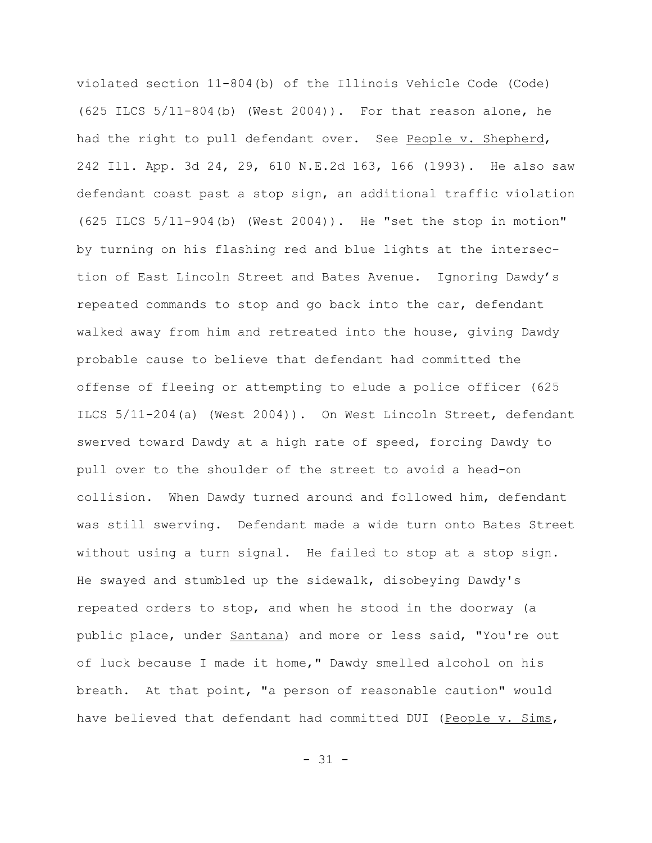violated section 11-804(b) of the Illinois Vehicle Code (Code) (625 ILCS 5/11-804(b) (West 2004)). For that reason alone, he had the right to pull defendant over. See People v. Shepherd, 242 Ill. App. 3d 24, 29, 610 N.E.2d 163, 166 (1993). He also saw defendant coast past a stop sign, an additional traffic violation (625 ILCS 5/11-904(b) (West 2004)). He "set the stop in motion" by turning on his flashing red and blue lights at the intersection of East Lincoln Street and Bates Avenue. Ignoring Dawdy's repeated commands to stop and go back into the car, defendant walked away from him and retreated into the house, giving Dawdy probable cause to believe that defendant had committed the offense of fleeing or attempting to elude a police officer (625 ILCS 5/11-204(a) (West 2004)). On West Lincoln Street, defendant swerved toward Dawdy at a high rate of speed, forcing Dawdy to pull over to the shoulder of the street to avoid a head-on collision. When Dawdy turned around and followed him, defendant was still swerving. Defendant made a wide turn onto Bates Street without using a turn signal. He failed to stop at a stop sign. He swayed and stumbled up the sidewalk, disobeying Dawdy's repeated orders to stop, and when he stood in the doorway (a public place, under Santana) and more or less said, "You're out of luck because I made it home," Dawdy smelled alcohol on his breath. At that point, "a person of reasonable caution" would have believed that defendant had committed DUI (People v. Sims,

 $-31 -$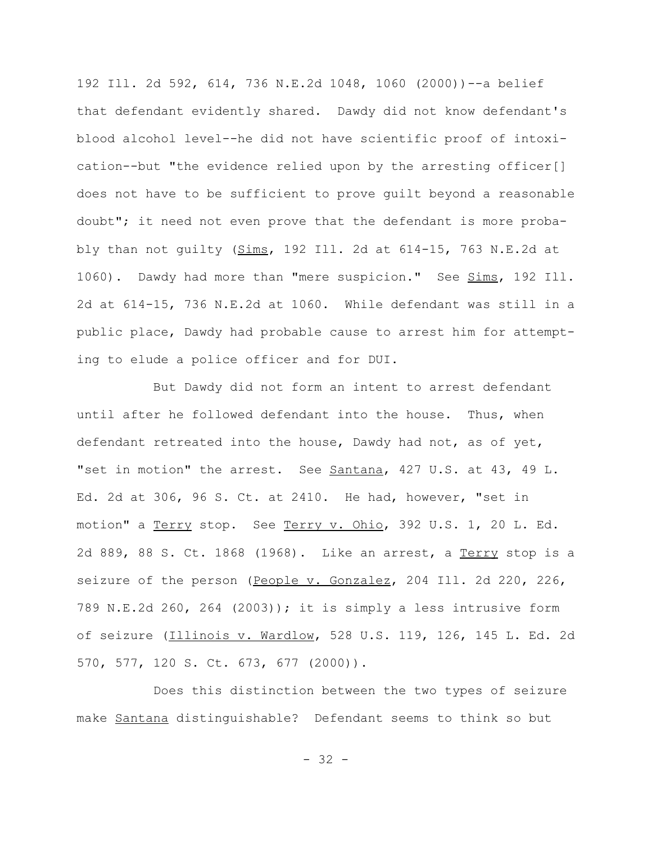192 Ill. 2d 592, 614, 736 N.E.2d 1048, 1060 (2000))--a belief that defendant evidently shared. Dawdy did not know defendant's blood alcohol level--he did not have scientific proof of intoxication--but "the evidence relied upon by the arresting officer[] does not have to be sufficient to prove guilt beyond a reasonable doubt"; it need not even prove that the defendant is more probably than not guilty (Sims, 192 Ill. 2d at 614-15, 763 N.E.2d at 1060). Dawdy had more than "mere suspicion." See Sims, 192 Ill. 2d at 614-15, 736 N.E.2d at 1060. While defendant was still in a public place, Dawdy had probable cause to arrest him for attempting to elude a police officer and for DUI.

But Dawdy did not form an intent to arrest defendant until after he followed defendant into the house. Thus, when defendant retreated into the house, Dawdy had not, as of yet, "set in motion" the arrest. See Santana, 427 U.S. at 43, 49 L. Ed. 2d at 306, 96 S. Ct. at 2410. He had, however, "set in motion" a Terry stop. See Terry v. Ohio, 392 U.S. 1, 20 L. Ed. 2d 889, 88 S. Ct. 1868 (1968). Like an arrest, a Terry stop is a seizure of the person (People v. Gonzalez, 204 Ill. 2d 220, 226, 789 N.E.2d 260, 264 (2003)); it is simply a less intrusive form of seizure (Illinois v. Wardlow, 528 U.S. 119, 126, 145 L. Ed. 2d 570, 577, 120 S. Ct. 673, 677 (2000)).

Does this distinction between the two types of seizure make Santana distinguishable? Defendant seems to think so but

- 32 -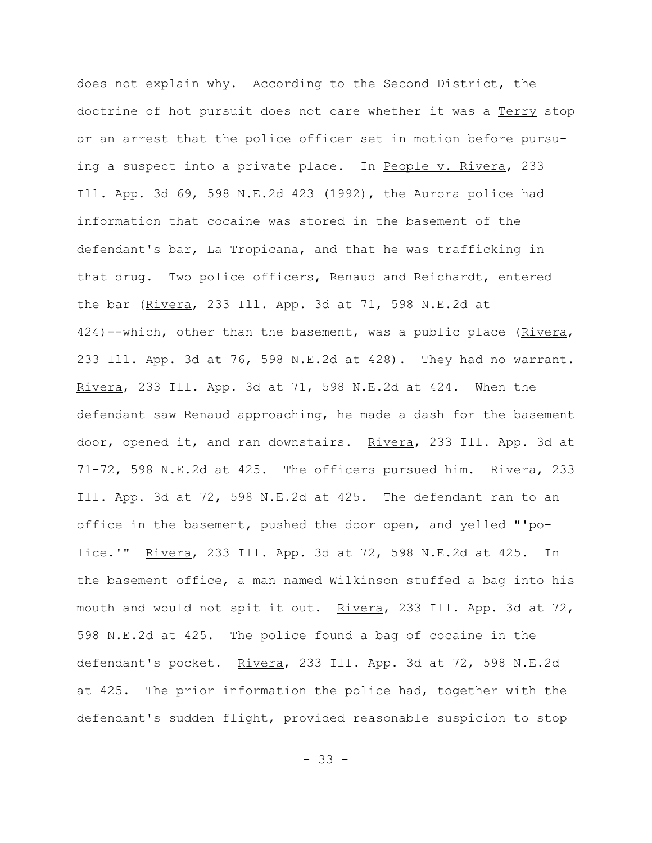does not explain why. According to the Second District, the doctrine of hot pursuit does not care whether it was a Terry stop or an arrest that the police officer set in motion before pursuing a suspect into a private place. In People v. Rivera, 233 Ill. App. 3d 69, 598 N.E.2d 423 (1992), the Aurora police had information that cocaine was stored in the basement of the defendant's bar, La Tropicana, and that he was trafficking in that drug. Two police officers, Renaud and Reichardt, entered the bar (Rivera, 233 Ill. App. 3d at 71, 598 N.E.2d at 424)--which, other than the basement, was a public place (Rivera, 233 Ill. App. 3d at 76, 598 N.E.2d at 428). They had no warrant. Rivera, 233 Ill. App. 3d at 71, 598 N.E.2d at 424. When the defendant saw Renaud approaching, he made a dash for the basement door, opened it, and ran downstairs. Rivera, 233 Ill. App. 3d at 71-72, 598 N.E.2d at 425. The officers pursued him. Rivera, 233 Ill. App. 3d at 72, 598 N.E.2d at 425. The defendant ran to an office in the basement, pushed the door open, and yelled "'police.'" Rivera, 233 Ill. App. 3d at 72, 598 N.E.2d at 425. In the basement office, a man named Wilkinson stuffed a bag into his mouth and would not spit it out. Rivera, 233 Ill. App. 3d at 72, 598 N.E.2d at 425. The police found a bag of cocaine in the defendant's pocket. Rivera, 233 Ill. App. 3d at 72, 598 N.E.2d at 425. The prior information the police had, together with the defendant's sudden flight, provided reasonable suspicion to stop

- 33 -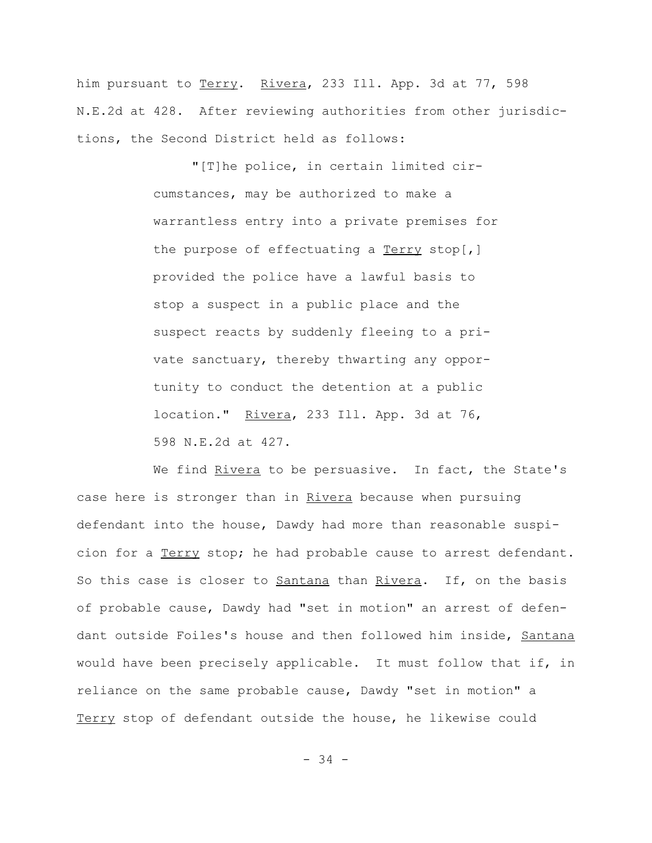him pursuant to Terry. Rivera, 233 Ill. App. 3d at 77, 598 N.E.2d at 428. After reviewing authorities from other jurisdictions, the Second District held as follows:

> "[T]he police, in certain limited circumstances, may be authorized to make a warrantless entry into a private premises for the purpose of effectuating a  $Term stop[$ ,</u> provided the police have a lawful basis to stop a suspect in a public place and the suspect reacts by suddenly fleeing to a private sanctuary, thereby thwarting any opportunity to conduct the detention at a public location." Rivera, 233 Ill. App. 3d at 76, 598 N.E.2d at 427.

We find Rivera to be persuasive. In fact, the State's case here is stronger than in Rivera because when pursuing defendant into the house, Dawdy had more than reasonable suspicion for a Terry stop; he had probable cause to arrest defendant. So this case is closer to Santana than Rivera. If, on the basis of probable cause, Dawdy had "set in motion" an arrest of defendant outside Foiles's house and then followed him inside, Santana would have been precisely applicable. It must follow that if, in reliance on the same probable cause, Dawdy "set in motion" a Terry stop of defendant outside the house, he likewise could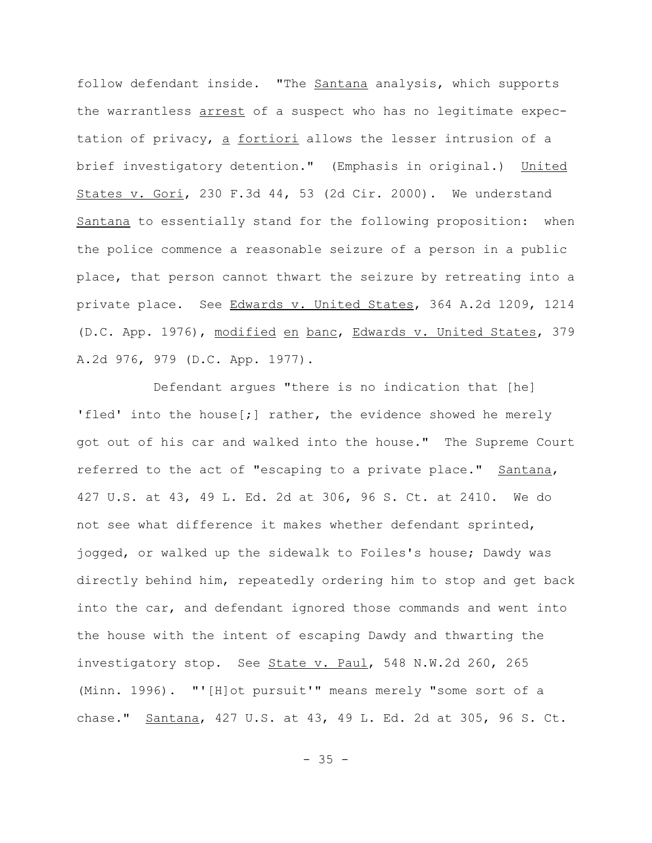follow defendant inside. "The Santana analysis, which supports the warrantless arrest of a suspect who has no legitimate expectation of privacy, a fortiori allows the lesser intrusion of a brief investigatory detention." (Emphasis in original.) United States v. Gori, 230 F.3d 44, 53 (2d Cir. 2000). We understand Santana to essentially stand for the following proposition: when the police commence a reasonable seizure of a person in a public place, that person cannot thwart the seizure by retreating into a private place. See Edwards v. United States, 364 A.2d 1209, 1214 (D.C. App. 1976), modified en banc, Edwards v. United States, 379 A.2d 976, 979 (D.C. App. 1977).

Defendant argues "there is no indication that [he] 'fled' into the house[;] rather, the evidence showed he merely got out of his car and walked into the house." The Supreme Court referred to the act of "escaping to a private place." Santana, 427 U.S. at 43, 49 L. Ed. 2d at 306, 96 S. Ct. at 2410. We do not see what difference it makes whether defendant sprinted, jogged, or walked up the sidewalk to Foiles's house; Dawdy was directly behind him, repeatedly ordering him to stop and get back into the car, and defendant ignored those commands and went into the house with the intent of escaping Dawdy and thwarting the investigatory stop. See State v. Paul, 548 N.W.2d 260, 265 (Minn. 1996). "'[H]ot pursuit'" means merely "some sort of a chase." Santana, 427 U.S. at 43, 49 L. Ed. 2d at 305, 96 S. Ct.

 $- 35 -$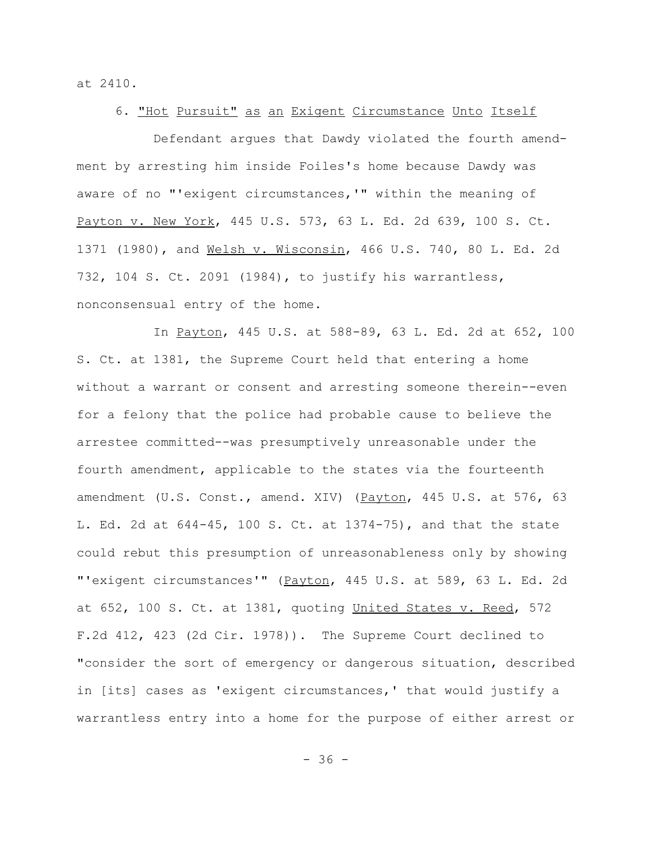at 2410.

### 6. "Hot Pursuit" as an Exigent Circumstance Unto Itself

Defendant argues that Dawdy violated the fourth amendment by arresting him inside Foiles's home because Dawdy was aware of no "'exigent circumstances,'" within the meaning of Payton v. New York, 445 U.S. 573, 63 L. Ed. 2d 639, 100 S. Ct. 1371 (1980), and Welsh v. Wisconsin, 466 U.S. 740, 80 L. Ed. 2d 732, 104 S. Ct. 2091 (1984), to justify his warrantless, nonconsensual entry of the home.

In Payton, 445 U.S. at 588-89, 63 L. Ed. 2d at 652, 100 S. Ct. at 1381, the Supreme Court held that entering a home without a warrant or consent and arresting someone therein--even for a felony that the police had probable cause to believe the arrestee committed--was presumptively unreasonable under the fourth amendment, applicable to the states via the fourteenth amendment (U.S. Const., amend. XIV) (Payton, 445 U.S. at 576, 63 L. Ed. 2d at 644-45, 100 S. Ct. at 1374-75), and that the state could rebut this presumption of unreasonableness only by showing "'exigent circumstances'" (Payton, 445 U.S. at 589, 63 L. Ed. 2d at 652, 100 S. Ct. at 1381, quoting United States v. Reed, 572 F.2d 412, 423 (2d Cir. 1978)). The Supreme Court declined to "consider the sort of emergency or dangerous situation, described in [its] cases as 'exigent circumstances,' that would justify a warrantless entry into a home for the purpose of either arrest or

- 36 -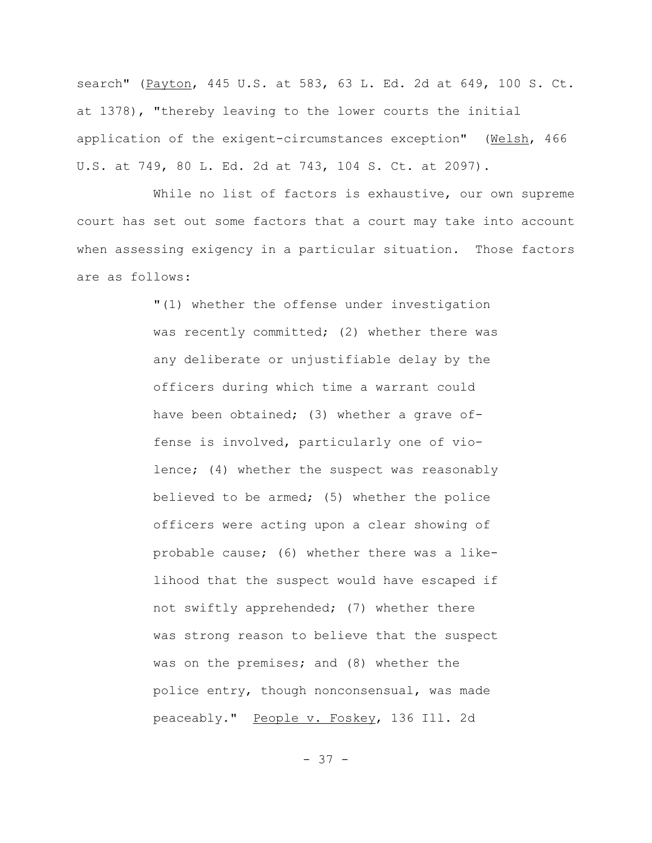search" (Payton, 445 U.S. at 583, 63 L. Ed. 2d at 649, 100 S. Ct. at 1378), "thereby leaving to the lower courts the initial application of the exigent-circumstances exception" (Welsh, 466 U.S. at 749, 80 L. Ed. 2d at 743, 104 S. Ct. at 2097).

While no list of factors is exhaustive, our own supreme court has set out some factors that a court may take into account when assessing exigency in a particular situation. Those factors are as follows:

> "(1) whether the offense under investigation was recently committed; (2) whether there was any deliberate or unjustifiable delay by the officers during which time a warrant could have been obtained; (3) whether a grave offense is involved, particularly one of violence; (4) whether the suspect was reasonably believed to be armed; (5) whether the police officers were acting upon a clear showing of probable cause; (6) whether there was a likelihood that the suspect would have escaped if not swiftly apprehended; (7) whether there was strong reason to believe that the suspect was on the premises; and (8) whether the police entry, though nonconsensual, was made peaceably." People v. Foskey, 136 Ill. 2d

> > - 37 -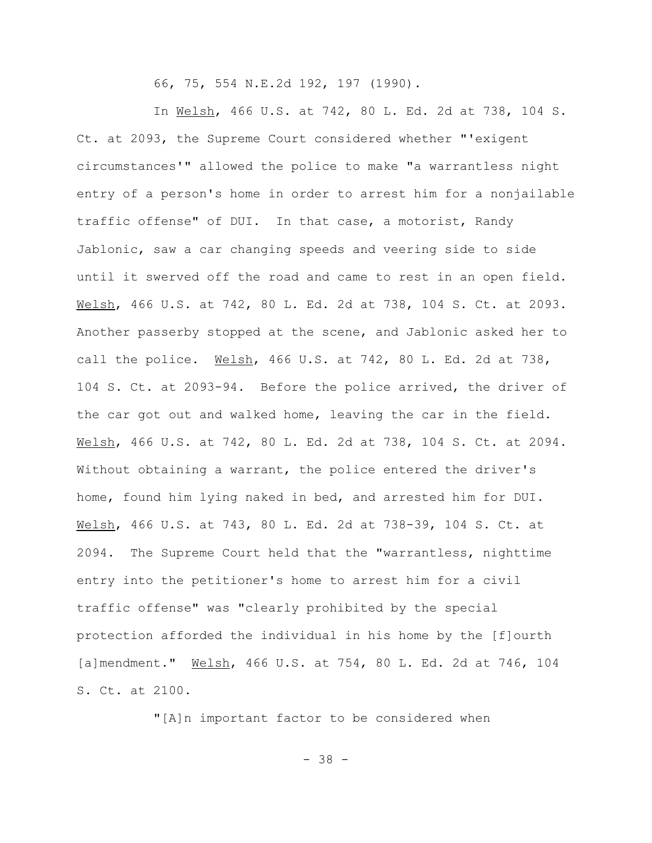66, 75, 554 N.E.2d 192, 197 (1990).

In Welsh, 466 U.S. at 742, 80 L. Ed. 2d at 738, 104 S. Ct. at 2093, the Supreme Court considered whether "'exigent circumstances'" allowed the police to make "a warrantless night entry of a person's home in order to arrest him for a nonjailable traffic offense" of DUI. In that case, a motorist, Randy Jablonic, saw a car changing speeds and veering side to side until it swerved off the road and came to rest in an open field. Welsh, 466 U.S. at 742, 80 L. Ed. 2d at 738, 104 S. Ct. at 2093. Another passerby stopped at the scene, and Jablonic asked her to call the police. Welsh, 466 U.S. at 742, 80 L. Ed. 2d at 738, 104 S. Ct. at 2093-94. Before the police arrived, the driver of the car got out and walked home, leaving the car in the field. Welsh, 466 U.S. at 742, 80 L. Ed. 2d at 738, 104 S. Ct. at 2094. Without obtaining a warrant, the police entered the driver's home, found him lying naked in bed, and arrested him for DUI. Welsh, 466 U.S. at 743, 80 L. Ed. 2d at 738-39, 104 S. Ct. at 2094. The Supreme Court held that the "warrantless, nighttime entry into the petitioner's home to arrest him for a civil traffic offense" was "clearly prohibited by the special protection afforded the individual in his home by the [f]ourth [a]mendment." Welsh, 466 U.S. at 754, 80 L. Ed. 2d at 746, 104 S. Ct. at 2100.

"[A]n important factor to be considered when

- 38 -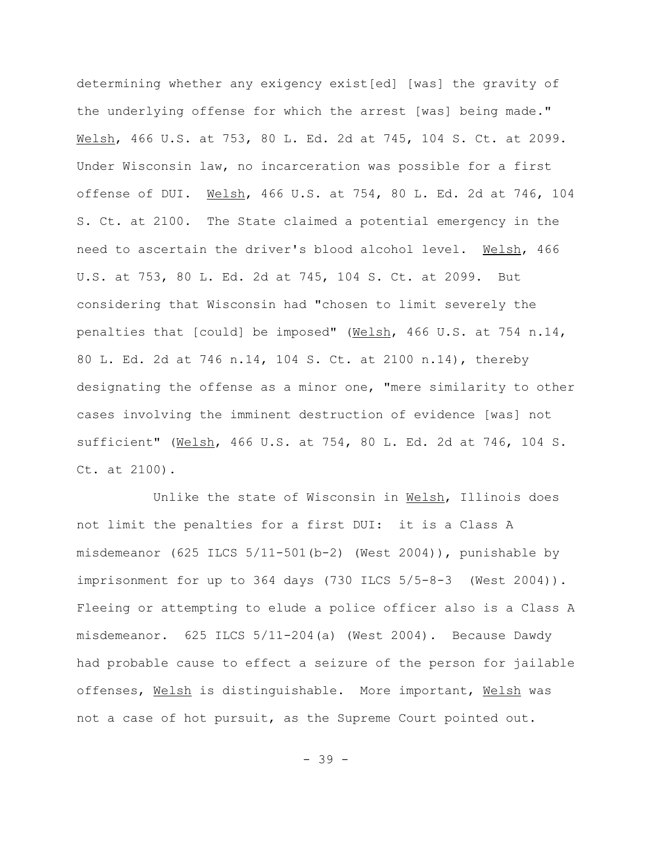determining whether any exigency exist[ed] [was] the gravity of the underlying offense for which the arrest [was] being made." Welsh, 466 U.S. at 753, 80 L. Ed. 2d at 745, 104 S. Ct. at 2099. Under Wisconsin law, no incarceration was possible for a first offense of DUI. Welsh, 466 U.S. at 754, 80 L. Ed. 2d at 746, 104 S. Ct. at 2100. The State claimed a potential emergency in the need to ascertain the driver's blood alcohol level. Welsh, 466 U.S. at 753, 80 L. Ed. 2d at 745, 104 S. Ct. at 2099. But considering that Wisconsin had "chosen to limit severely the penalties that [could] be imposed" (Welsh, 466 U.S. at 754 n.14, 80 L. Ed. 2d at 746 n.14, 104 S. Ct. at 2100 n.14), thereby designating the offense as a minor one, "mere similarity to other cases involving the imminent destruction of evidence [was] not sufficient" (Welsh, 466 U.S. at 754, 80 L. Ed. 2d at 746, 104 S. Ct. at 2100).

Unlike the state of Wisconsin in Welsh, Illinois does not limit the penalties for a first DUI: it is a Class A misdemeanor  $(625$  ILCS  $5/11-501(b-2)$  (West 2004)), punishable by imprisonment for up to  $364$  days (730 ILCS  $5/5-8-3$  (West  $2004$ )). Fleeing or attempting to elude a police officer also is a Class A misdemeanor. 625 ILCS 5/11-204(a) (West 2004). Because Dawdy had probable cause to effect a seizure of the person for jailable offenses, Welsh is distinguishable. More important, Welsh was not a case of hot pursuit, as the Supreme Court pointed out.

- 39 -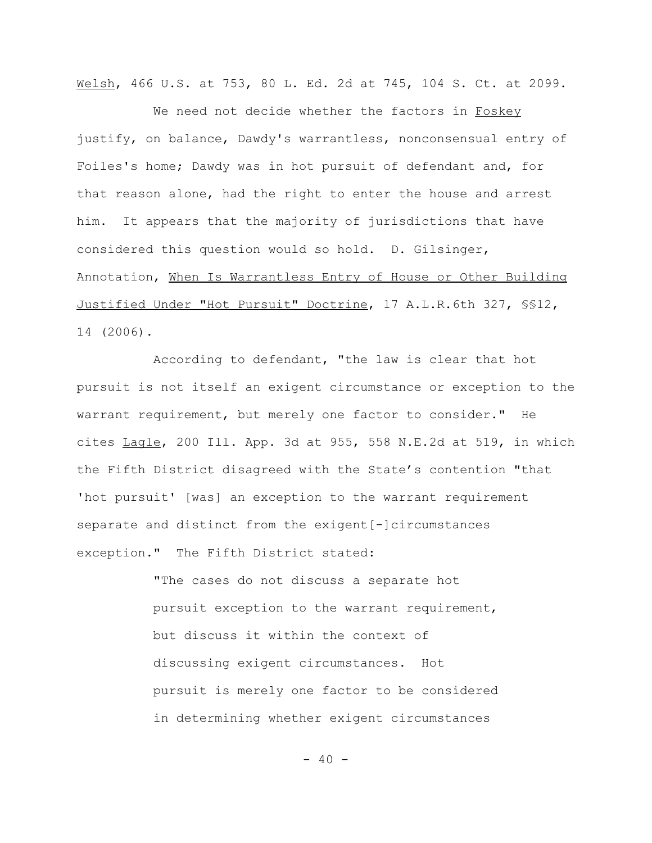Welsh, 466 U.S. at 753, 80 L. Ed. 2d at 745, 104 S. Ct. at 2099.

We need not decide whether the factors in Foskey justify, on balance, Dawdy's warrantless, nonconsensual entry of Foiles's home; Dawdy was in hot pursuit of defendant and, for that reason alone, had the right to enter the house and arrest him. It appears that the majority of jurisdictions that have considered this question would so hold. D. Gilsinger, Annotation, When Is Warrantless Entry of House or Other Building Justified Under "Hot Pursuit" Doctrine, 17 A.L.R.6th 327, §§12, 14 (2006).

According to defendant, "the law is clear that hot pursuit is not itself an exigent circumstance or exception to the warrant requirement, but merely one factor to consider." He cites Lagle, 200 Ill. App. 3d at 955, 558 N.E.2d at 519, in which the Fifth District disagreed with the State's contention "that 'hot pursuit' [was] an exception to the warrant requirement separate and distinct from the exigent[-]circumstances exception." The Fifth District stated:

> "The cases do not discuss a separate hot pursuit exception to the warrant requirement, but discuss it within the context of discussing exigent circumstances. Hot pursuit is merely one factor to be considered in determining whether exigent circumstances

> > $- 40 -$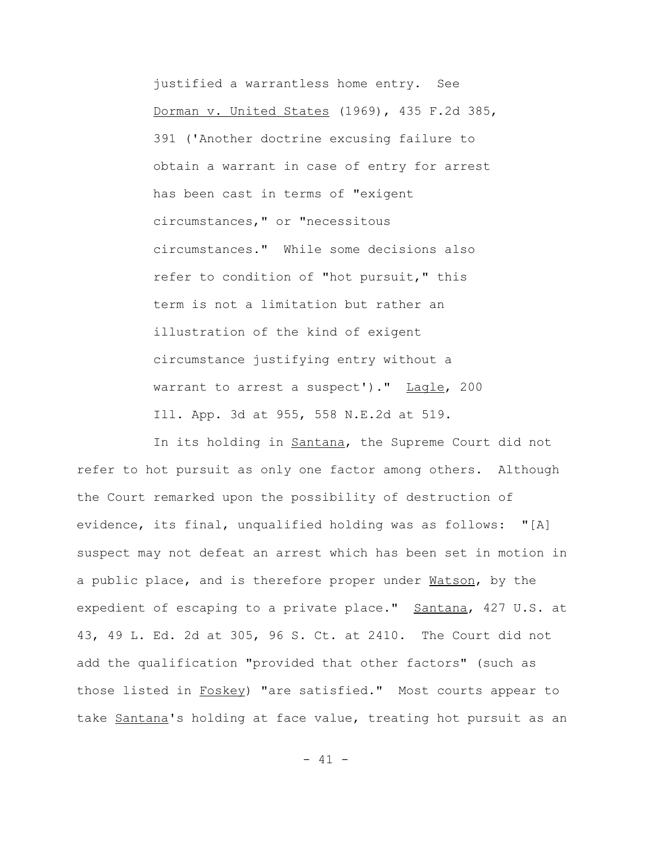justified a warrantless home entry. See Dorman v. United States (1969), 435 F.2d 385, 391 ('Another doctrine excusing failure to obtain a warrant in case of entry for arrest has been cast in terms of "exigent circumstances," or "necessitous circumstances." While some decisions also refer to condition of "hot pursuit," this term is not a limitation but rather an illustration of the kind of exigent circumstance justifying entry without a warrant to arrest a suspect')." Lagle, 200 Ill. App. 3d at 955, 558 N.E.2d at 519.

In its holding in Santana, the Supreme Court did not refer to hot pursuit as only one factor among others. Although the Court remarked upon the possibility of destruction of evidence, its final, unqualified holding was as follows: "[A] suspect may not defeat an arrest which has been set in motion in a public place, and is therefore proper under Watson, by the expedient of escaping to a private place." Santana, 427 U.S. at 43, 49 L. Ed. 2d at 305, 96 S. Ct. at 2410. The Court did not add the qualification "provided that other factors" (such as those listed in Foskey) "are satisfied." Most courts appear to take Santana's holding at face value, treating hot pursuit as an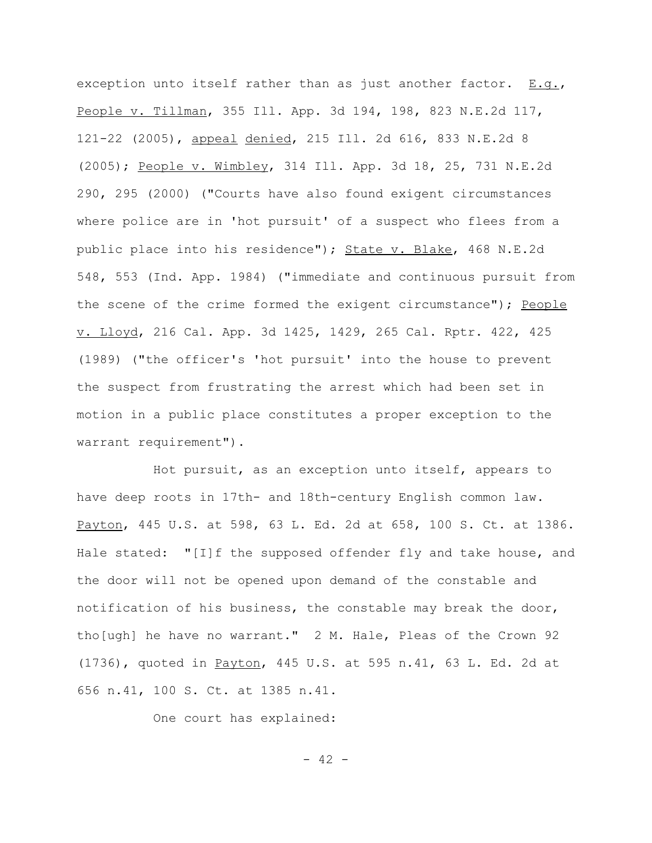exception unto itself rather than as just another factor. E.g., People v. Tillman, 355 Ill. App. 3d 194, 198, 823 N.E.2d 117, 121-22 (2005), appeal denied, 215 Ill. 2d 616, 833 N.E.2d 8 (2005); People v. Wimbley, 314 Ill. App. 3d 18, 25, 731 N.E.2d 290, 295 (2000) ("Courts have also found exigent circumstances where police are in 'hot pursuit' of a suspect who flees from a public place into his residence"); State v. Blake, 468 N.E.2d 548, 553 (Ind. App. 1984) ("immediate and continuous pursuit from the scene of the crime formed the exigent circumstance"); People v. Lloyd, 216 Cal. App. 3d 1425, 1429, 265 Cal. Rptr. 422, 425 (1989) ("the officer's 'hot pursuit' into the house to prevent the suspect from frustrating the arrest which had been set in motion in a public place constitutes a proper exception to the warrant requirement").

Hot pursuit, as an exception unto itself, appears to have deep roots in 17th- and 18th-century English common law. Payton, 445 U.S. at 598, 63 L. Ed. 2d at 658, 100 S. Ct. at 1386. Hale stated: "[I]f the supposed offender fly and take house, and the door will not be opened upon demand of the constable and notification of his business, the constable may break the door, tho[ugh] he have no warrant." 2 M. Hale, Pleas of the Crown 92 (1736), quoted in Payton, 445 U.S. at 595 n.41, 63 L. Ed. 2d at 656 n.41, 100 S. Ct. at 1385 n.41.

One court has explained:

 $- 42 -$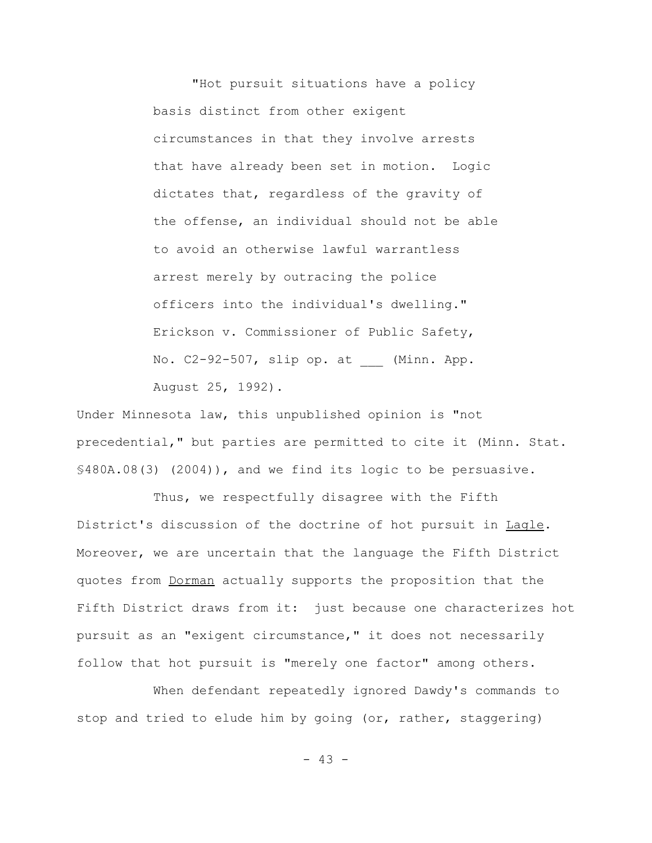"Hot pursuit situations have a policy basis distinct from other exigent circumstances in that they involve arrests that have already been set in motion. Logic dictates that, regardless of the gravity of the offense, an individual should not be able to avoid an otherwise lawful warrantless arrest merely by outracing the police officers into the individual's dwelling." Erickson v. Commissioner of Public Safety, No. C2-92-507, slip op. at \_\_\_ (Minn. App. August 25, 1992).

Under Minnesota law, this unpublished opinion is "not precedential," but parties are permitted to cite it (Minn. Stat. §480A.08(3) (2004)), and we find its logic to be persuasive.

Thus, we respectfully disagree with the Fifth District's discussion of the doctrine of hot pursuit in Lagle. Moreover, we are uncertain that the language the Fifth District quotes from Dorman actually supports the proposition that the Fifth District draws from it: just because one characterizes hot pursuit as an "exigent circumstance," it does not necessarily follow that hot pursuit is "merely one factor" among others.

When defendant repeatedly ignored Dawdy's commands to stop and tried to elude him by going (or, rather, staggering)

 $- 43 -$